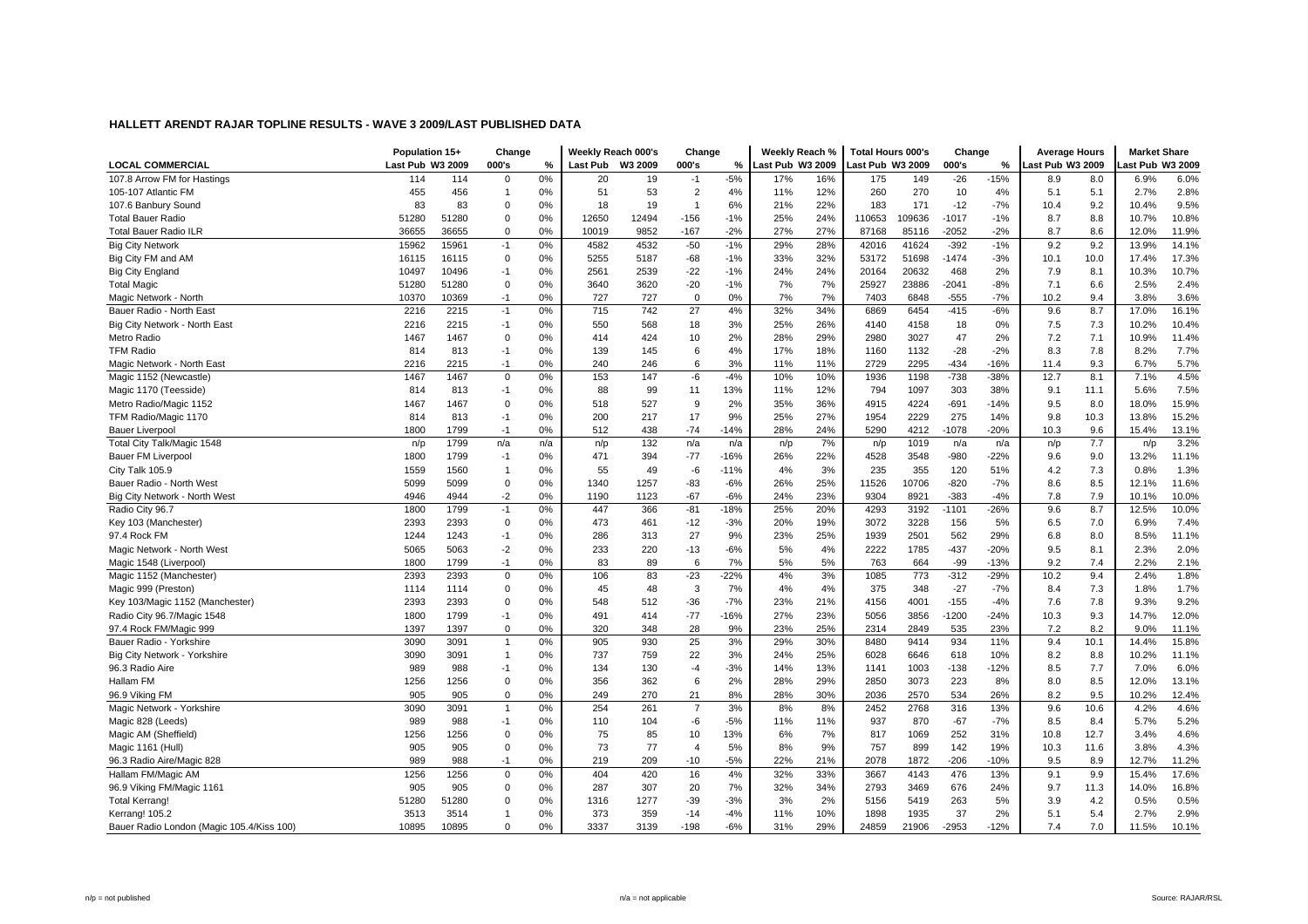|                                           | Population 15+   |       | Change         |      | Weekly Reach 000's |       | Change         |        | Weekly Reach %          |     | Total Hours 000's |        | Change  |        | <b>Average Hours</b> |      | <b>Market Share</b> |       |
|-------------------------------------------|------------------|-------|----------------|------|--------------------|-------|----------------|--------|-------------------------|-----|-------------------|--------|---------|--------|----------------------|------|---------------------|-------|
| <b>LOCAL COMMERCIAL</b>                   | Last Pub W3 2009 |       | 000's          | $\%$ | Last Pub W3 2009   |       | 000's          | %      | <b>Last Pub W3 2009</b> |     | Last Pub W3 2009  |        | 000's   | %      | Last Pub W3 2009     |      | ast Pub W3 2009     |       |
| 107.8 Arrow FM for Hastings               | 114              | 114   | 0              | 0%   | 20                 | 19    | $-1$           | $-5%$  | 17%                     | 16% | 175               | 149    | $-26$   | $-15%$ | 8.9                  | 8.0  | 6.9%                | 6.0%  |
| 105-107 Atlantic FM                       | 455              | 456   | $\mathbf{1}$   | 0%   | 51                 | 53    | $\overline{2}$ | 4%     | 11%                     | 12% | 260               | 270    | 10      | 4%     | 5.1                  | 5.1  | 2.7%                | 2.8%  |
| 107.6 Banbury Sound                       | 83               | 83    | $\mathbf 0$    | 0%   | 18                 | 19    | $\mathbf{1}$   | 6%     | 21%                     | 22% | 183               | 171    | $-12$   | $-7%$  | 10.4                 | 9.2  | 10.4%               | 9.5%  |
| <b>Total Bauer Radio</b>                  | 51280            | 51280 | $\mathbf 0$    | 0%   | 12650              | 12494 | $-156$         | $-1%$  | 25%                     | 24% | 110653            | 109636 | $-1017$ | $-1%$  | 8.7                  | 8.8  | 10.7%               | 10.8% |
| <b>Total Bauer Radio ILR</b>              | 36655            | 36655 | $\Omega$       | 0%   | 10019              | 9852  | $-167$         | $-2%$  | 27%                     | 27% | 87168             | 85116  | $-2052$ | $-2%$  | 8.7                  | 8.6  | 12.0%               | 11.9% |
| <b>Big City Network</b>                   | 15962            | 15961 | $-1$           | 0%   | 4582               | 4532  | $-50$          | $-1%$  | 29%                     | 28% | 42016             | 41624  | $-392$  | $-1%$  | 9.2                  | 9.2  | 13.9%               | 14.1% |
| Big City FM and AM                        | 16115            | 16115 | $\mathbf 0$    | 0%   | 5255               | 5187  | $-68$          | $-1%$  | 33%                     | 32% | 53172             | 51698  | $-1474$ | $-3%$  | 10.1                 | 10.0 | 17.4%               | 17.3% |
| <b>Big City England</b>                   | 10497            | 10496 | $-1$           | 0%   | 2561               | 2539  | $-22$          | $-1%$  | 24%                     | 24% | 20164             | 20632  | 468     | 2%     | 7.9                  | 8.1  | 10.3%               | 10.7% |
| <b>Total Magic</b>                        | 51280            | 51280 | 0              | 0%   | 3640               | 3620  | $-20$          | $-1%$  | 7%                      | 7%  | 25927             | 23886  | $-2041$ | $-8%$  | 7.1                  | 6.6  | 2.5%                | 2.4%  |
| Magic Network - North                     | 10370            | 10369 | $-1$           | 0%   | 727                | 727   | $\Omega$       | 0%     | 7%                      | 7%  | 7403              | 6848   | $-555$  | $-7%$  | 10.2                 | 9.4  | 3.8%                | 3.6%  |
| Bauer Radio - North East                  | 2216             | 2215  | $-1$           | 0%   | 715                | 742   | 27             | 4%     | 32%                     | 34% | 6869              | 6454   | $-415$  | $-6%$  | 9.6                  | 8.7  | 17.0%               | 16.1% |
| Big City Network - North East             | 2216             | 2215  | $-1$           | 0%   | 550                | 568   | 18             | 3%     | 25%                     | 26% | 4140              | 4158   | 18      | 0%     | 7.5                  | 7.3  | 10.2%               | 10.4% |
| Metro Radio                               | 1467             | 1467  | $\mathbf 0$    | 0%   | 414                | 424   | 10             | 2%     | 28%                     | 29% | 2980              | 3027   | 47      | 2%     | 7.2                  | 7.1  | 10.9%               | 11.4% |
| <b>TFM Radio</b>                          | 814              | 813   | $-1$           | 0%   | 139                | 145   | 6              | 4%     | 17%                     | 18% | 1160              | 1132   | $-28$   | $-2%$  | 8.3                  | 7.8  | 8.2%                | 7.7%  |
| Magic Network - North East                | 2216             | 2215  | -1             | 0%   | 240                | 246   | 6              | 3%     | 11%                     | 11% | 2729              | 2295   | $-434$  | $-16%$ | 11.4                 | 9.3  | 6.7%                | 5.7%  |
| Magic 1152 (Newcastle)                    | 1467             | 1467  | $\mathbf 0$    | 0%   | 153                | 147   | -6             | $-4%$  | 10%                     | 10% | 1936              | 1198   | $-738$  | $-38%$ | 12.7                 | 8.1  | 7.1%                | 4.5%  |
| Magic 1170 (Teesside)                     | 814              | 813   | $-1$           | 0%   | 88                 | 99    | 11             | 13%    | 11%                     | 12% | 794               | 1097   | 303     | 38%    | 9.1                  | 11.1 | 5.6%                | 7.5%  |
| Metro Radio/Magic 1152                    | 1467             | 1467  | $\mathbf 0$    | 0%   | 518                | 527   | 9              | 2%     | 35%                     | 36% | 4915              | 4224   | $-691$  | $-14%$ | 9.5                  | 8.0  | 18.0%               | 15.9% |
| TFM Radio/Magic 1170                      | 814              | 813   | $-1$           | 0%   | 200                | 217   | 17             | 9%     | 25%                     | 27% | 1954              | 2229   | 275     | 14%    | 9.8                  | 10.3 | 13.8%               | 15.2% |
| <b>Bauer Liverpool</b>                    | 1800             | 1799  | $-1$           | 0%   | 512                | 438   | $-74$          | $-14%$ | 28%                     | 24% | 5290              | 4212   | $-1078$ | $-20%$ | 10.3                 | 9.6  | 15.4%               | 13.1% |
| Total City Talk/Magic 1548                | n/p              | 1799  | n/a            | n/a  | n/p                | 132   | n/a            | n/a    | n/p                     | 7%  | n/p               | 1019   | n/a     | n/a    | n/p                  | 7.7  | n/p                 | 3.2%  |
| <b>Bauer FM Liverpool</b>                 | 1800             | 1799  | $-1$           | 0%   | 471                | 394   | $-77$          | $-16%$ | 26%                     | 22% | 4528              | 3548   | $-980$  | $-22%$ | 9.6                  | 9.0  | 13.2%               | 11.1% |
| City Talk 105.9                           | 1559             | 1560  | $\overline{1}$ | 0%   | 55                 | 49    | -6             | $-11%$ | 4%                      | 3%  | 235               | 355    | 120     | 51%    | 4.2                  | 7.3  | 0.8%                | 1.3%  |
| Bauer Radio - North West                  | 5099             | 5099  | $\mathbf 0$    | 0%   | 1340               | 1257  | $-83$          | $-6%$  | 26%                     | 25% | 11526             | 10706  | $-820$  | $-7%$  | 8.6                  | 8.5  | 12.1%               | 11.6% |
| Big City Network - North West             | 4946             | 4944  | $-2$           | 0%   | 1190               | 1123  | $-67$          | $-6%$  | 24%                     | 23% | 9304              | 8921   | $-383$  | $-4%$  | 7.8                  | 7.9  | 10.1%               | 10.0% |
| Radio City 96.7                           | 1800             | 1799  | $-1$           | 0%   | 447                | 366   | $-81$          | $-18%$ | 25%                     | 20% | 4293              | 3192   | $-1101$ | $-26%$ | 9.6                  | 8.7  | 12.5%               | 10.0% |
| Key 103 (Manchester)                      | 2393             | 2393  | $\mathbf 0$    | 0%   | 473                | 461   | $-12$          | $-3%$  | 20%                     | 19% | 3072              | 3228   | 156     | 5%     | 6.5                  | 7.0  | 6.9%                | 7.4%  |
| 97.4 Rock FM                              | 1244             | 1243  | $-1$           | 0%   | 286                | 313   | 27             | 9%     | 23%                     | 25% | 1939              | 2501   | 562     | 29%    | 6.8                  | 8.0  | 8.5%                | 11.1% |
| Magic Network - North West                | 5065             | 5063  | $-2$           | 0%   | 233                | 220   | $-13$          | $-6%$  | 5%                      | 4%  | 2222              | 1785   | $-437$  | $-20%$ | 9.5                  | 8.1  | 2.3%                | 2.0%  |
| Magic 1548 (Liverpool)                    | 1800             | 1799  | $-1$           | 0%   | 83                 | 89    | 6              | 7%     | 5%                      | 5%  | 763               | 664    | $-99$   | $-13%$ | 9.2                  | 7.4  | 2.2%                | 2.1%  |
| Magic 1152 (Manchester)                   | 2393             | 2393  | $\mathsf{O}$   | 0%   | 106                | 83    | $-23$          | $-22%$ | 4%                      | 3%  | 1085              | 773    | $-312$  | $-29%$ | 10.2                 | 9.4  | 2.4%                | 1.8%  |
| Magic 999 (Preston)                       | 1114             | 1114  | $\mathbf 0$    | 0%   | 45                 | 48    | $\mathbf 3$    | 7%     | 4%                      | 4%  | 375               | 348    | $-27$   | $-7%$  | 8.4                  | 7.3  | 1.8%                | 1.7%  |
| Key 103/Magic 1152 (Manchester)           | 2393             | 2393  | $\mathbf 0$    | 0%   | 548                | 512   | $-36$          | $-7%$  | 23%                     | 21% | 4156              | 4001   | $-155$  | $-4%$  | 7.6                  | 7.8  | 9.3%                | 9.2%  |
| Radio City 96.7/Magic 1548                | 1800             | 1799  | $-1$           | 0%   | 491                | 414   | $-77$          | $-16%$ | 27%                     | 23% | 5056              | 3856   | $-1200$ | $-24%$ | 10.3                 | 9.3  | 14.7%               | 12.0% |
| 97.4 Rock FM/Magic 999                    | 1397             | 1397  | $\Omega$       | 0%   | 320                | 348   | 28             | 9%     | 23%                     | 25% | 2314              | 2849   | 535     | 23%    | 7.2                  | 8.2  | 9.0%                | 11.1% |
| Bauer Radio - Yorkshire                   | 3090             | 3091  | $\overline{1}$ | 0%   | 905                | 930   | 25             | 3%     | 29%                     | 30% | 8480              | 9414   | 934     | 11%    | 9.4                  | 10.1 | 14.4%               | 15.8% |
| Big City Network - Yorkshire              | 3090             | 3091  | $\mathbf{1}$   | 0%   | 737                | 759   | 22             | 3%     | 24%                     | 25% | 6028              | 6646   | 618     | 10%    | 8.2                  | 8.8  | 10.2%               | 11.1% |
| 96.3 Radio Aire                           | 989              | 988   | -1             | 0%   | 134                | 130   | $-4$           | $-3%$  | 14%                     | 13% | 1141              | 1003   | $-138$  | $-12%$ | 8.5                  | 7.7  | 7.0%                | 6.0%  |
| Hallam FM                                 | 1256             | 1256  | $\mathbf 0$    | 0%   | 356                | 362   | 6              | 2%     | 28%                     | 29% | 2850              | 3073   | 223     | 8%     | 8.0                  | 8.5  | 12.0%               | 13.1% |
| 96.9 Viking FM                            | 905              | 905   | $\mathbf 0$    | 0%   | 249                | 270   | 21             | 8%     | 28%                     | 30% | 2036              | 2570   | 534     | 26%    | 8.2                  | 9.5  | 10.2%               | 12.4% |
| Magic Network - Yorkshire                 | 3090             | 3091  | $\overline{1}$ | 0%   | 254                | 261   | $\overline{7}$ | 3%     | 8%                      | 8%  | 2452              | 2768   | 316     | 13%    | 9.6                  | 10.6 | 4.2%                | 4.6%  |
| Magic 828 (Leeds)                         | 989              | 988   | $-1$           | 0%   | 110                | 104   | -6             | $-5%$  | 11%                     | 11% | 937               | 870    | $-67$   | $-7%$  | 8.5                  | 8.4  | 5.7%                | 5.2%  |
| Magic AM (Sheffield)                      | 1256             | 1256  | $\Omega$       | 0%   | 75                 | 85    | 10             | 13%    | 6%                      | 7%  | 817               | 1069   | 252     | 31%    | 10.8                 | 12.7 | 3.4%                | 4.6%  |
| Magic 1161 (Hull)                         | 905              | 905   | $\mathbf 0$    | 0%   | 73                 | 77    | $\overline{4}$ | 5%     | 8%                      | 9%  | 757               | 899    | 142     | 19%    | 10.3                 | 11.6 | 3.8%                | 4.3%  |
| 96.3 Radio Aire/Magic 828                 | 989              | 988   | $-1$           | 0%   | 219                | 209   | $-10$          | $-5%$  | 22%                     | 21% | 2078              | 1872   | $-206$  | $-10%$ | 9.5                  | 8.9  | 12.7%               | 11.2% |
| Hallam FM/Magic AM                        | 1256             | 1256  | $\mathsf{O}$   | 0%   | 404                | 420   | 16             | 4%     | 32%                     | 33% | 3667              | 4143   | 476     | 13%    | 9.1                  | 9.9  | 15.4%               | 17.6% |
| 96.9 Viking FM/Magic 1161                 | 905              | 905   | $\mathbf 0$    | 0%   | 287                | 307   | 20             | 7%     | 32%                     | 34% | 2793              | 3469   | 676     | 24%    | 9.7                  | 11.3 | 14.0%               | 16.8% |
| <b>Total Kerrang!</b>                     | 51280            | 51280 | $\mathbf 0$    | 0%   | 1316               | 1277  | $-39$          | $-3%$  | 3%                      | 2%  | 5156              | 5419   | 263     | 5%     | 3.9                  | 4.2  | 0.5%                | 0.5%  |
| Kerrang! 105.2                            | 3513             | 3514  | 1              | 0%   | 373                | 359   | $-14$          | $-4%$  | 11%                     | 10% | 1898              | 1935   | 37      | 2%     | 5.1                  | 5.4  | 2.7%                | 2.9%  |
| Bauer Radio London (Magic 105.4/Kiss 100) | 10895            | 10895 | $\Omega$       | 0%   | 3337               | 3139  | $-198$         | $-6%$  | 31%                     | 29% | 24859             | 21906  | $-2953$ | $-12%$ | 7.4                  | 7.0  | 11.5%               | 10.1% |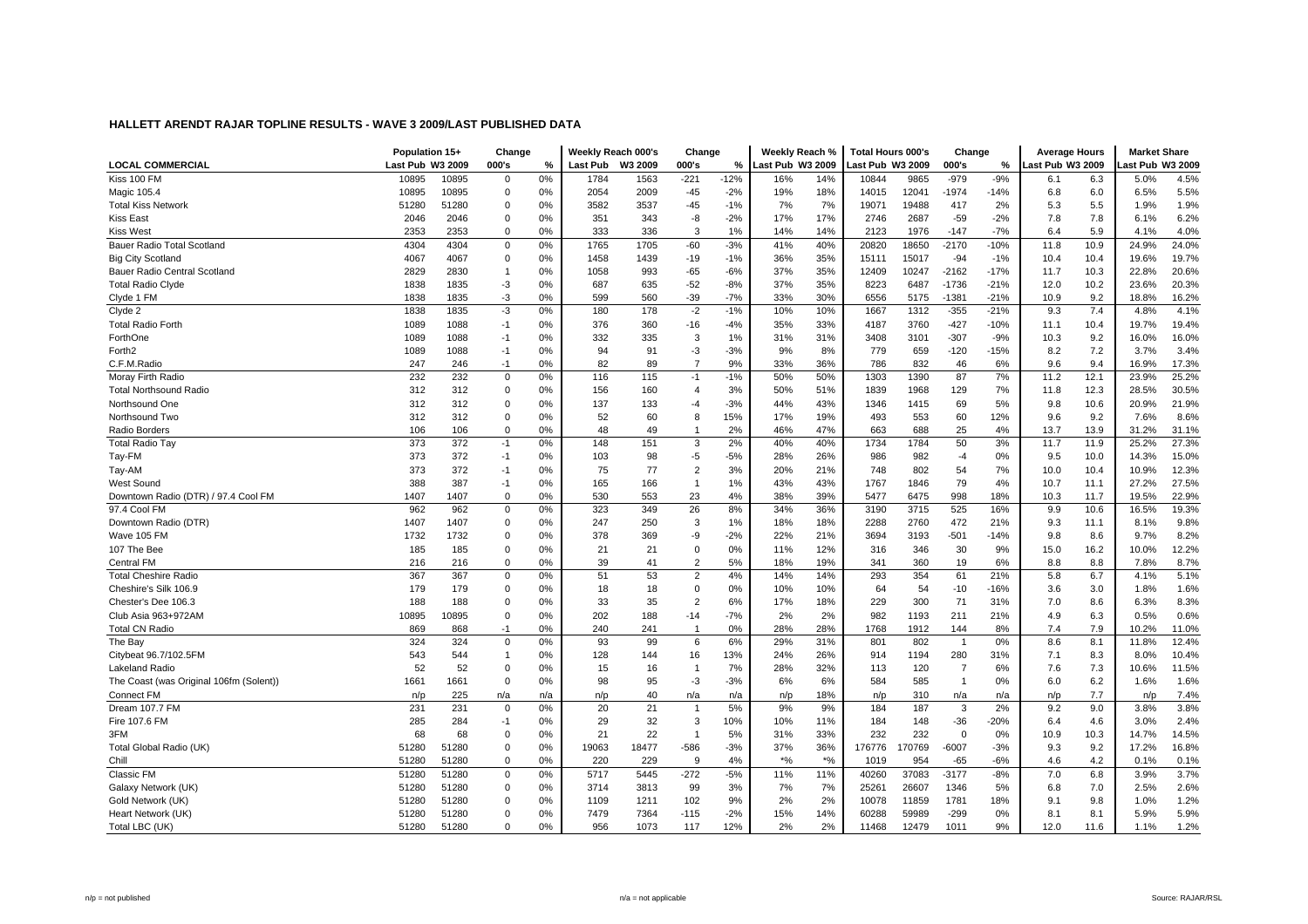|                                         | Population 15+   |       | Change       |     |                 | Weekly Reach 000's | Change                  |        | Weekly Reach %   |       | <b>Total Hours 000's</b> |       | Change         |        | <b>Average Hours</b> |      | <b>Market Share</b> |       |
|-----------------------------------------|------------------|-------|--------------|-----|-----------------|--------------------|-------------------------|--------|------------------|-------|--------------------------|-------|----------------|--------|----------------------|------|---------------------|-------|
| <b>LOCAL COMMERCIAL</b>                 | Last Pub W3 2009 |       | 000's        | %   | <b>Last Pub</b> | W3 2009            | 000's                   | %      | Last Pub W3 2009 |       | Last Pub W3 2009         |       | 000's          | %      | Last Pub W3 2009     |      | ast Pub W3 2009     |       |
| Kiss 100 FM                             | 10895            | 10895 | 0            | 0%  | 1784            | 1563               | $-221$                  | $-12%$ | 16%              | 14%   | 10844                    | 9865  | -979           | $-9%$  | 6.1                  | 6.3  | 5.0%                | 4.5%  |
| Magic 105.4                             | 10895            | 10895 | 0            | 0%  | 2054            | 2009               | $-45$                   | $-2%$  | 19%              | 18%   | 14015                    | 12041 | $-1974$        | -14%   | 6.8                  | 6.0  | 6.5%                | 5.5%  |
| <b>Total Kiss Network</b>               | 51280            | 51280 | 0            | 0%  | 3582            | 3537               | $-45$                   | $-1%$  | 7%               | 7%    | 19071                    | 19488 | 417            | 2%     | 5.3                  | 5.5  | 1.9%                | 1.9%  |
| <b>Kiss East</b>                        | 2046             | 2046  | 0            | 0%  | 351             | 343                | -8                      | $-2%$  | 17%              | 17%   | 2746                     | 2687  | $-59$          | $-2%$  | 7.8                  | 7.8  | 6.1%                | 6.2%  |
| <b>Kiss West</b>                        | 2353             | 2353  | O            | 0%  | 333             | 336                | 3                       | 1%     | 14%              | 14%   | 2123                     | 1976  | $-147$         | $-7%$  | 6.4                  | 5.9  | 4.1%                | 4.0%  |
| Bauer Radio Total Scotland              | 4304             | 4304  | $\Omega$     | 0%  | 1765            | 1705               | $-60$                   | $-3%$  | 41%              | 40%   | 20820                    | 18650 | $-2170$        | $-10%$ | 11.8                 | 10.9 | 24.9%               | 24.0% |
| <b>Big City Scotland</b>                | 4067             | 4067  | $\mathbf 0$  | 0%  | 1458            | 1439               | $-19$                   | $-1%$  | 36%              | 35%   | 15111                    | 15017 | $-94$          | $-1%$  | 10.4                 | 10.4 | 19.6%               | 19.7% |
| Bauer Radio Central Scotland            | 2829             | 2830  | $\mathbf{1}$ | 0%  | 1058            | 993                | $-65$                   | $-6%$  | 37%              | 35%   | 12409                    | 10247 | $-2162$        | $-17%$ | 11.7                 | 10.3 | 22.8%               | 20.6% |
| <b>Total Radio Clyde</b>                | 1838             | 1835  | $-3$         | 0%  | 687             | 635                | $-52$                   | $-8%$  | 37%              | 35%   | 8223                     | 6487  | $-1736$        | $-21%$ | 12.0                 | 10.2 | 23.6%               | 20.3% |
| Clyde 1 FM                              | 1838             | 1835  | $-3$         | 0%  | 599             | 560                | $-39$                   | $-7%$  | 33%              | 30%   | 6556                     | 5175  | $-1381$        | $-21%$ | 10.9                 | 9.2  | 18.8%               | 16.2% |
| Clyde 2                                 | 1838             | 1835  | $-3$         | 0%  | 180             | 178                | $-2$                    | $-1%$  | 10%              | 10%   | 1667                     | 1312  | $-355$         | $-21%$ | 9.3                  | 7.4  | 4.8%                | 4.1%  |
| <b>Total Radio Forth</b>                | 1089             | 1088  | $-1$         | 0%  | 376             | 360                | $-16$                   | $-4%$  | 35%              | 33%   | 4187                     | 3760  | $-427$         | $-10%$ | 11.1                 | 10.4 | 19.7%               | 19.4% |
| ForthOne                                | 1089             | 1088  | $-1$         | 0%  | 332             | 335                | 3                       | 1%     | 31%              | 31%   | 3408                     | 3101  | $-307$         | $-9%$  | 10.3                 | 9.2  | 16.0%               | 16.0% |
| Forth <sub>2</sub>                      | 1089             | 1088  | $-1$         | 0%  | 94              | 91                 | $-3$                    | $-3%$  | 9%               | 8%    | 779                      | 659   | $-120$         | $-15%$ | 8.2                  | 7.2  | 3.7%                | 3.4%  |
| C.F.M.Radio                             | 247              | 246   | $-1$         | 0%  | 82              | 89                 | $\overline{7}$          | 9%     | 33%              | 36%   | 786                      | 832   | 46             | 6%     | 9.6                  | 9.4  | 16.9%               | 17.3% |
| Moray Firth Radio                       | 232              | 232   | 0            | 0%  | 116             | 115                | $-1$                    | $-1%$  | 50%              | 50%   | 1303                     | 1390  | 87             | 7%     | 11.2                 | 12.1 | 23.9%               | 25.2% |
| <b>Total Northsound Radio</b>           | 312              | 312   | 0            | 0%  | 156             | 160                | $\overline{4}$          | 3%     | 50%              | 51%   | 1839                     | 1968  | 129            | 7%     | 11.8                 | 12.3 | 28.5%               | 30.5% |
| Northsound One                          | 312              | 312   | $\Omega$     | 0%  | 137             | 133                | -4                      | $-3%$  | 44%              | 43%   | 1346                     | 1415  | 69             | 5%     | 9.8                  | 10.6 | 20.9%               | 21.9% |
| Northsound Two                          | 312              | 312   | $\Omega$     | 0%  | 52              | 60                 | 8                       | 15%    | 17%              | 19%   | 493                      | 553   | 60             | 12%    | 9.6                  | 9.2  | 7.6%                | 8.6%  |
| Radio Borders                           | 106              | 106   | $\Omega$     | 0%  | 48              | 49                 | $\overline{\mathbf{1}}$ | 2%     | 46%              | 47%   | 663                      | 688   | 25             | 4%     | 13.7                 | 13.9 | 31.2%               | 31.1% |
| <b>Total Radio Tay</b>                  | 373              | 372   | $-1$         | 0%  | 148             | 151                | 3                       | 2%     | 40%              | 40%   | 1734                     | 1784  | 50             | 3%     | 11.7                 | 11.9 | 25.2%               | 27.3% |
| Tay-FM                                  | 373              | 372   | $-1$         | 0%  | 103             | 98                 | -5                      | $-5%$  | 28%              | 26%   | 986                      | 982   | $-4$           | 0%     | 9.5                  | 10.0 | 14.3%               | 15.0% |
| Tay-AM                                  | 373              | 372   | $-1$         | 0%  | 75              | 77                 | $\overline{2}$          | 3%     | 20%              | 21%   | 748                      | 802   | 54             | 7%     | 10.0                 | 10.4 | 10.9%               | 12.3% |
| <b>West Sound</b>                       | 388              | 387   | $-1$         | 0%  | 165             | 166                | $\overline{1}$          | 1%     | 43%              | 43%   | 1767                     | 1846  | 79             | 4%     | 10.7                 | 11.1 | 27.2%               | 27.5% |
| Downtown Radio (DTR) / 97.4 Cool FM     | 1407             | 1407  | $\Omega$     | 0%  | 530             | 553                | 23                      | 4%     | 38%              | 39%   | 5477                     | 6475  | 998            | 18%    | 10.3                 | 11.7 | 19.5%               | 22.9% |
| 97.4 Cool FM                            | 962              | 962   | $\Omega$     | 0%  | 323             | 349                | 26                      | 8%     | 34%              | 36%   | 3190                     | 3715  | 525            | 16%    | 9.9                  | 10.6 | 16.5%               | 19.3% |
| Downtown Radio (DTR)                    | 1407             | 1407  | $\Omega$     | 0%  | 247             | 250                | 3                       | 1%     | 18%              | 18%   | 2288                     | 2760  | 472            | 21%    | 9.3                  | 11.1 | 8.1%                | 9.8%  |
| Wave 105 FM                             | 1732             | 1732  | $\Omega$     | 0%  | 378             | 369                | -9                      | $-2%$  | 22%              | 21%   | 3694                     | 3193  | $-501$         | $-14%$ | 9.8                  | 8.6  | 9.7%                | 8.2%  |
| 107 The Bee                             | 185              | 185   | $\mathbf 0$  | 0%  | 21              | 21                 | $\mathbf 0$             | 0%     | 11%              | 12%   | 316                      | 346   | 30             | 9%     | 15.0                 | 16.2 | 10.0%               | 12.2% |
| Central FM                              | 216              | 216   | $\Omega$     | 0%  | 39              | 41                 | $\overline{2}$          | 5%     | 18%              | 19%   | 341                      | 360   | 19             | 6%     | 8.8                  | 8.8  | 7.8%                | 8.7%  |
| <b>Total Cheshire Radio</b>             | 367              | 367   | $\Omega$     | 0%  | 51              | 53                 | 2                       | 4%     | 14%              | 14%   | 293                      | 354   | 61             | 21%    | 5.8                  | 6.7  | 4.1%                | 5.1%  |
| Cheshire's Silk 106.9                   | 179              | 179   | $\Omega$     | 0%  | 18              | 18                 | $\mathbf 0$             | 0%     | 10%              | 10%   | 64                       | 54    | $-10$          | $-16%$ | 3.6                  | 3.0  | 1.8%                | 1.6%  |
| Chester's Dee 106.3                     | 188              | 188   | $\Omega$     | 0%  | 33              | 35                 | $\overline{2}$          | 6%     | 17%              | 18%   | 229                      | 300   | 71             | 31%    | 7.0                  | 8.6  | 6.3%                | 8.3%  |
| Club Asia 963+972AM                     | 10895            | 10895 | $\Omega$     | 0%  | 202             | 188                | $-14$                   | $-7%$  | 2%               | 2%    | 982                      | 1193  | 211            | 21%    | 4.9                  | 6.3  | 0.5%                | 0.6%  |
| <b>Total CN Radio</b>                   | 869              | 868   | $-1$         | 0%  | 240             | 241                | $\overline{1}$          | 0%     | 28%              | 28%   | 1768                     | 1912  | 144            | 8%     | 7.4                  | 7.9  | 10.2%               | 11.0% |
| The Bay                                 | 324              | 324   | 0            | 0%  | 93              | 99                 | 6                       | 6%     | 29%              | 31%   | 801                      | 802   | $\overline{1}$ | 0%     | 8.6                  | 8.1  | 11.8%               | 12.4% |
| Citybeat 96.7/102.5FM                   | 543              | 544   | $\mathbf{1}$ | 0%  | 128             | 144                | 16                      | 13%    | 24%              | 26%   | 914                      | 1194  | 280            | 31%    | 7.1                  | 8.3  | 8.0%                | 10.4% |
| <b>Lakeland Radio</b>                   | 52               | 52    | $\Omega$     | 0%  | 15              | 16                 | $\overline{1}$          | 7%     | 28%              | 32%   | 113                      | 120   | $\overline{7}$ | 6%     | 7.6                  | 7.3  | 10.6%               | 11.5% |
| The Coast (was Original 106fm (Solent)) | 1661             | 1661  | $\Omega$     | 0%  | 98              | 95                 | $-3$                    | $-3%$  | 6%               | 6%    | 584                      | 585   | $\overline{1}$ | 0%     | 6.0                  | 6.2  | 1.6%                | 1.6%  |
| Connect FM                              | n/p              | 225   | n/a          | n/a | n/p             | 40                 | n/a                     | n/a    | n/p              | 18%   | n/p                      | 310   | n/a            | n/a    | n/p                  | 7.7  | n/p                 | 7.4%  |
| Dream 107.7 FM                          | 231              | 231   | $\mathbf 0$  | 0%  | 20              | 21                 | $\overline{1}$          | 5%     | 9%               | 9%    | 184                      | 187   | 3              | 2%     | 9.2                  | 9.0  | 3.8%                | 3.8%  |
| Fire 107.6 FM                           | 285              | 284   | $-1$         | 0%  | 29              | 32                 | 3                       | 10%    | 10%              | 11%   | 184                      | 148   | $-36$          | $-20%$ | 6.4                  | 4.6  | 3.0%                | 2.4%  |
| 3FM                                     | 68               | 68    | $\mathbf 0$  | 0%  | 21              | 22                 | -1                      | 5%     | 31%              | 33%   | 232                      | 232   | $\mathbf 0$    | 0%     | 10.9                 | 10.3 | 14.7%               | 14.5% |
| Total Global Radio (UK)                 | 51280            | 51280 | 0            | 0%  | 19063           | 18477              | $-586$                  | $-3%$  | 37%              | 36%   | 176776                   | 70769 | $-6007$        | $-3%$  | 9.3                  | 9.2  | 17.2%               | 16.8% |
| Chill                                   | 51280            | 51280 | $\Omega$     | 0%  | 220             | 229                | 9                       | 4%     | $*$ %            | $*$ % | 1019                     | 954   | $-65$          | $-6%$  | 4.6                  | 4.2  | 0.1%                | 0.1%  |
| Classic FM                              | 51280            | 51280 | $\Omega$     | 0%  | 5717            | 5445               | $-272$                  | $-5%$  | 11%              | 11%   | 40260                    | 37083 | $-3177$        | $-8%$  | 7.0                  | 6.8  | 3.9%                | 3.7%  |
| Galaxy Network (UK)                     | 51280            | 51280 | $\mathbf 0$  | 0%  | 3714            | 3813               | 99                      | 3%     | 7%               | 7%    | 25261                    | 26607 | 1346           | 5%     | 6.8                  | 7.0  | 2.5%                | 2.6%  |
| Gold Network (UK)                       | 51280            | 51280 | $\Omega$     | 0%  | 1109            | 1211               | 102                     | 9%     | 2%               | 2%    | 10078                    | 11859 | 1781           | 18%    | 9.1                  | 9.8  | 1.0%                | 1.2%  |
| Heart Network (UK)                      | 51280            | 51280 | $\Omega$     | 0%  | 7479            | 7364               | $-115$                  | $-2%$  | 15%              | 14%   | 60288                    | 59989 | $-299$         | 0%     | 8.1                  | 8.1  | 5.9%                | 5.9%  |
| Total LBC (UK)                          | 51280            | 51280 | 0            | 0%  | 956             | 1073               | 117                     | 12%    | 2%               | 2%    | 11468                    | 12479 | 1011           | 9%     | 12.0                 | 11.6 | 1.1%                | 1.2%  |
|                                         |                  |       |              |     |                 |                    |                         |        |                  |       |                          |       |                |        |                      |      |                     |       |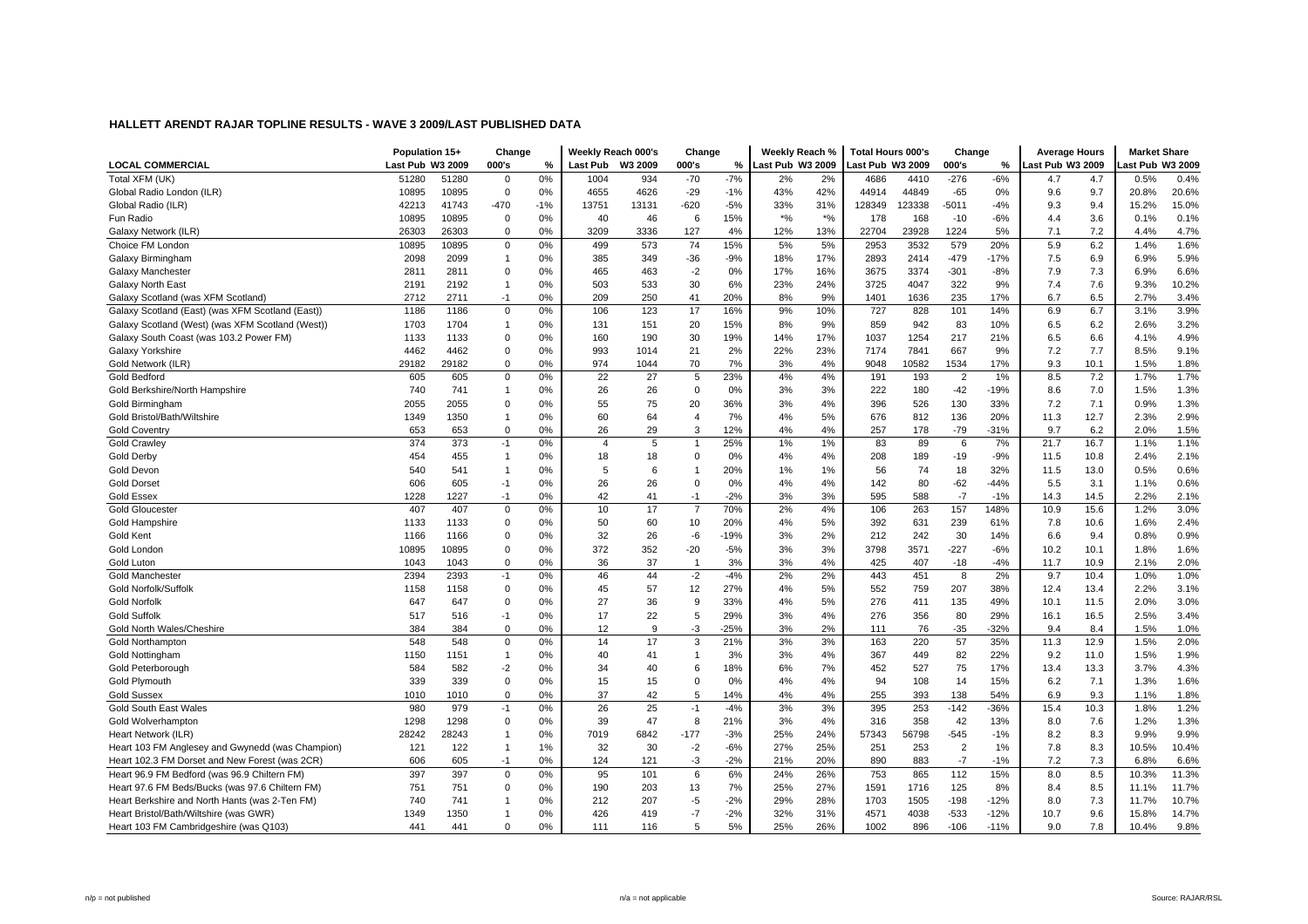|                                                  | Population 15+   |       | Change         |       | Weekly Reach 000's |         | Change         |        | Weekly Reach %          |       | Total Hours 000's |        | Change         |        | <b>Average Hours</b> |      | <b>Market Share</b> |       |
|--------------------------------------------------|------------------|-------|----------------|-------|--------------------|---------|----------------|--------|-------------------------|-------|-------------------|--------|----------------|--------|----------------------|------|---------------------|-------|
| <b>LOCAL COMMERCIAL</b>                          | Last Pub W3 2009 |       | 000's          | $\%$  | <b>Last Pub</b>    | W3 2009 | 000's          | %      | <b>Last Pub W3 2009</b> |       | Last Pub W3 2009  |        | 000's          | %      | Last Pub W3 2009     |      | ast Pub W3 2009     |       |
| Total XFM (UK)                                   | 51280            | 51280 | 0              | 0%    | 1004               | 934     | $-70$          | $-7%$  | 2%                      | 2%    | 4686              | 4410   | $-276$         | $-6%$  | 4.7                  | 4.7  | 0.5%                | 0.4%  |
| Global Radio London (ILR)                        | 10895            | 10895 | $\mathbf 0$    | 0%    | 4655               | 4626    | $-29$          | $-1%$  | 43%                     | 42%   | 44914             | 44849  | $-65$          | 0%     | 9.6                  | 9.7  | 20.8%               | 20.6% |
| Global Radio (ILR)                               | 42213            | 41743 | $-470$         | $-1%$ | 13751              | 13131   | $-620$         | $-5%$  | 33%                     | 31%   | 128349            | 123338 | $-5011$        | -4%    | 9.3                  | 9.4  | 15.2%               | 15.0% |
| Fun Radio                                        | 10895            | 10895 | $\mathbf 0$    | 0%    | 40                 | 46      | 6              | 15%    | $*$ %                   | $*$ % | 178               | 168    | $-10$          | $-6%$  | 4.4                  | 3.6  | 0.1%                | 0.1%  |
| Galaxy Network (ILR)                             | 26303            | 26303 | $\Omega$       | 0%    | 3209               | 3336    | 127            | 4%     | 12%                     | 13%   | 22704             | 23928  | 1224           | 5%     | 7.1                  | 7.2  | 4.4%                | 4.7%  |
| Choice FM London                                 | 10895            | 10895 | $\mathbf 0$    | 0%    | 499                | 573     | 74             | 15%    | 5%                      | 5%    | 2953              | 3532   | 579            | 20%    | 5.9                  | 6.2  | 1.4%                | 1.6%  |
| Galaxy Birmingham                                | 2098             | 2099  | $\overline{1}$ | 0%    | 385                | 349     | $-36$          | $-9%$  | 18%                     | 17%   | 2893              | 2414   | $-479$         | $-17%$ | 7.5                  | 6.9  | 6.9%                | 5.9%  |
| Galaxy Manchester                                | 2811             | 2811  | $\mathbf 0$    | 0%    | 465                | 463     | $-2$           | 0%     | 17%                     | 16%   | 3675              | 3374   | $-301$         | $-8%$  | 7.9                  | 7.3  | 6.9%                | 6.6%  |
| Galaxy North East                                | 2191             | 2192  | $\mathbf{1}$   | 0%    | 503                | 533     | 30             | 6%     | 23%                     | 24%   | 3725              | 4047   | 322            | 9%     | 7.4                  | 7.6  | 9.3%                | 10.2% |
| Galaxy Scotland (was XFM Scotland)               | 2712             | 2711  | $-1$           | 0%    | 209                | 250     | 41             | 20%    | 8%                      | 9%    | 1401              | 1636   | 235            | 17%    | 6.7                  | 6.5  | 2.7%                | 3.4%  |
| Galaxy Scotland (East) (was XFM Scotland (East)) | 1186             | 1186  | $\mathbf 0$    | 0%    | 106                | 123     | 17             | 16%    | 9%                      | 10%   | 727               | 828    | 101            | 14%    | 6.9                  | 6.7  | 3.1%                | 3.9%  |
| Galaxy Scotland (West) (was XFM Scotland (West)) | 1703             | 1704  | $\mathbf{1}$   | 0%    | 131                | 151     | 20             | 15%    | 8%                      | 9%    | 859               | 942    | 83             | 10%    | 6.5                  | 6.2  | 2.6%                | 3.2%  |
| Galaxy South Coast (was 103.2 Power FM)          | 1133             | 1133  | $\mathbf 0$    | 0%    | 160                | 190     | 30             | 19%    | 14%                     | 17%   | 1037              | 1254   | 217            | 21%    | 6.5                  | 6.6  | 4.1%                | 4.9%  |
| Galaxy Yorkshire                                 | 4462             | 4462  | 0              | 0%    | 993                | 1014    | 21             | 2%     | 22%                     | 23%   | 7174              | 7841   | 667            | 9%     | 7.2                  | 7.7  | 8.5%                | 9.1%  |
| Gold Network (ILR)                               | 29182            | 29182 | 0              | 0%    | 974                | 1044    | 70             | 7%     | 3%                      | 4%    | 9048              | 10582  | 1534           | 17%    | 9.3                  | 10.1 | 1.5%                | 1.8%  |
| <b>Gold Bedford</b>                              | 605              | 605   | $\mathbf 0$    | 0%    | 22                 | 27      | 5              | 23%    | 4%                      | 4%    | 191               | 193    | $\overline{2}$ | 1%     | 8.5                  | 7.2  | 1.7%                | 1.7%  |
| Gold Berkshire/North Hampshire                   | 740              | 741   | $\overline{1}$ | 0%    | 26                 | 26      | $\mathbf 0$    | 0%     | 3%                      | 3%    | 222               | 180    | $-42$          | $-19%$ | 8.6                  | 7.0  | 1.5%                | 1.3%  |
| Gold Birmingham                                  | 2055             | 2055  | $\mathbf 0$    | 0%    | 55                 | 75      | 20             | 36%    | 3%                      | 4%    | 396               | 526    | 130            | 33%    | 7.2                  | 7.1  | 0.9%                | 1.3%  |
| Gold Bristol/Bath/Wiltshire                      | 1349             | 1350  | $\mathbf{1}$   | 0%    | 60                 | 64      | $\overline{4}$ | 7%     | 4%                      | 5%    | 676               | 812    | 136            | 20%    | 11.3                 | 12.7 | 2.3%                | 2.9%  |
| <b>Gold Coventry</b>                             | 653              | 653   | $\mathbf 0$    | 0%    | 26                 | 29      | 3              | 12%    | 4%                      | 4%    | 257               | 178    | $-79$          | $-31%$ | 9.7                  | 6.2  | 2.0%                | 1.5%  |
| <b>Gold Crawley</b>                              | 374              | 373   | $-1$           | 0%    | $\overline{4}$     | 5       | $\mathbf{1}$   | 25%    | 1%                      | 1%    | 83                | 89     | 6              | 7%     | 21.7                 | 16.7 | 1.1%                | 1.1%  |
| <b>Gold Derby</b>                                | 454              | 455   | $\overline{1}$ | 0%    | 18                 | 18      | $\mathbf 0$    | 0%     | 4%                      | 4%    | 208               | 189    | $-19$          | $-9%$  | 11.5                 | 10.8 | 2.4%                | 2.1%  |
| Gold Devon                                       | 540              | 541   | $\mathbf{1}$   | 0%    | 5                  | 6       | $\mathbf{1}$   | 20%    | 1%                      | 1%    | 56                | 74     | 18             | 32%    | 11.5                 | 13.0 | 0.5%                | 0.6%  |
| <b>Gold Dorset</b>                               | 606              | 605   | -1             | 0%    | 26                 | 26      | $\mathbf 0$    | 0%     | 4%                      | 4%    | 142               | 80     | $-62$          | $-44%$ | 5.5                  | 3.1  | 1.1%                | 0.6%  |
| <b>Gold Essex</b>                                | 1228             | 1227  | $-1$           | 0%    | 42                 | 41      | $-1$           | $-2%$  | 3%                      | 3%    | 595               | 588    | $-7$           | $-1%$  | 14.3                 | 14.5 | 2.2%                | 2.1%  |
| <b>Gold Gloucester</b>                           | 407              | 407   | $\mathsf 0$    | 0%    | 10                 | 17      | $\overline{7}$ | 70%    | 2%                      | 4%    | 106               | 263    | 157            | 148%   | 10.9                 | 15.6 | 1.2%                | 3.0%  |
| Gold Hampshire                                   | 1133             | 1133  | $\mathbf 0$    | 0%    | 50                 | 60      | 10             | 20%    | 4%                      | 5%    | 392               | 631    | 239            | 61%    | 7.8                  | 10.6 | 1.6%                | 2.4%  |
| <b>Gold Kent</b>                                 | 1166             | 1166  | $\Omega$       | 0%    | 32                 | 26      | $-6$           | $-19%$ | 3%                      | 2%    | 212               | 242    | 30             | 14%    | 6.6                  | 9.4  | 0.8%                | 0.9%  |
| Gold London                                      | 10895            | 10895 | 0              | 0%    | 372                | 352     | $-20$          | $-5%$  | 3%                      | 3%    | 3798              | 3571   | $-227$         | $-6%$  | 10.2                 | 10.1 | 1.8%                | 1.6%  |
| Gold Luton                                       | 1043             | 1043  | $\mathbf 0$    | 0%    | 36                 | 37      | $\mathbf{1}$   | 3%     | 3%                      | 4%    | 425               | 407    | $-18$          | $-4%$  | 11.7                 | 10.9 | 2.1%                | 2.0%  |
| <b>Gold Manchester</b>                           | 2394             | 2393  | $-1$           | 0%    | 46                 | 44      | $-2$           | $-4%$  | 2%                      | 2%    | 443               | 451    | 8              | 2%     | 9.7                  | 10.4 | 1.0%                | 1.0%  |
| Gold Norfolk/Suffolk                             | 1158             | 1158  | 0              | 0%    | 45                 | 57      | 12             | 27%    | 4%                      | 5%    | 552               | 759    | 207            | 38%    | 12.4                 | 13.4 | 2.2%                | 3.1%  |
| <b>Gold Norfolk</b>                              | 647              | 647   | $\mathbf 0$    | 0%    | 27                 | 36      | 9              | 33%    | 4%                      | 5%    | 276               | 411    | 135            | 49%    | 10.1                 | 11.5 | 2.0%                | 3.0%  |
| <b>Gold Suffolk</b>                              | 517              | 516   | $-1$           | 0%    | 17                 | 22      | 5              | 29%    | 3%                      | 4%    | 276               | 356    | 80             | 29%    | 16.1                 | 16.5 | 2.5%                | 3.4%  |
| Gold North Wales/Cheshire                        | 384              | 384   | $\Omega$       | 0%    | 12                 | 9       | $-3$           | $-25%$ | 3%                      | 2%    | 111               | 76     | $-35$          | $-32%$ | 9.4                  | 8.4  | 1.5%                | 1.0%  |
| <b>Gold Northampton</b>                          | 548              | 548   | $\mathbf 0$    | 0%    | 14                 | 17      | 3              | 21%    | 3%                      | 3%    | 163               | 220    | 57             | 35%    | 11.3                 | 12.9 | 1.5%                | 2.0%  |
| <b>Gold Nottingham</b>                           | 1150             | 1151  | $\mathbf{1}$   | 0%    | 40                 | 41      | $\mathbf{1}$   | 3%     | 3%                      | 4%    | 367               | 449    | 82             | 22%    | 9.2                  | 11.0 | 1.5%                | 1.9%  |
| Gold Peterborough                                | 584              | 582   | $-2$           | 0%    | 34                 | 40      | 6              | 18%    | 6%                      | 7%    | 452               | 527    | 75             | 17%    | 13.4                 | 13.3 | 3.7%                | 4.3%  |
| <b>Gold Plymouth</b>                             | 339              | 339   | $\Omega$       | 0%    | 15                 | 15      | $\Omega$       | 0%     | 4%                      | 4%    | 94                | 108    | 14             | 15%    | 6.2                  | 7.1  | 1.3%                | 1.6%  |
| <b>Gold Sussex</b>                               | 1010             | 1010  | $\mathbf 0$    | 0%    | 37                 | 42      | 5              | 14%    | 4%                      | 4%    | 255               | 393    | 138            | 54%    | 6.9                  | 9.3  | 1.1%                | 1.8%  |
| Gold South East Wales                            | 980              | 979   | $-1$           | 0%    | 26                 | 25      | $-1$           | $-4%$  | 3%                      | 3%    | 395               | 253    | $-142$         | $-36%$ | 15.4                 | 10.3 | 1.8%                | 1.2%  |
| Gold Wolverhampton                               | 1298             | 1298  | $\mathbf 0$    | 0%    | 39                 | 47      | 8              | 21%    | 3%                      | 4%    | 316               | 358    | 42             | 13%    | 8.0                  | 7.6  | 1.2%                | 1.3%  |
| Heart Network (ILR)                              | 28242            | 28243 | -1             | 0%    | 7019               | 6842    | $-177$         | $-3%$  | 25%                     | 24%   | 57343             | 56798  | $-545$         | $-1%$  | 8.2                  | 8.3  | 9.9%                | 9.9%  |
| Heart 103 FM Anglesey and Gwynedd (was Champion) | 121              | 122   | $\overline{1}$ | 1%    | 32                 | 30      | $-2$           | $-6%$  | 27%                     | 25%   | 251               | 253    | $\overline{2}$ | 1%     | 7.8                  | 8.3  | 10.5%               | 10.4% |
| Heart 102.3 FM Dorset and New Forest (was 2CR)   | 606              | 605   | $-1$           | 0%    | 124                | 121     | $-3$           | $-2%$  | 21%                     | 20%   | 890               | 883    | $-7$           | $-1%$  | 7.2                  | 7.3  | 6.8%                | 6.6%  |
| Heart 96.9 FM Bedford (was 96.9 Chiltern FM)     | 397              | 397   | $\mathsf{O}$   | 0%    | 95                 | 101     | 6              | 6%     | 24%                     | 26%   | 753               | 865    | 112            | 15%    | 8.0                  | 8.5  | 10.3%               | 11.3% |
| Heart 97.6 FM Beds/Bucks (was 97.6 Chiltern FM)  | 751              | 751   | $\mathbf 0$    | 0%    | 190                | 203     | 13             | 7%     | 25%                     | 27%   | 1591              | 1716   | 125            | 8%     | 8.4                  | 8.5  | 11.1%               | 11.7% |
| Heart Berkshire and North Hants (was 2-Ten FM)   | 740              | 741   | 1              | 0%    | 212                | 207     | $-5$           | $-2%$  | 29%                     | 28%   | 1703              | 1505   | $-198$         | $-12%$ | 8.0                  | 7.3  | 11.7%               | 10.7% |
| Heart Bristol/Bath/Wiltshire (was GWR)           | 1349             | 1350  |                | 0%    | 426                | 419     | $-7$           | $-2%$  | 32%                     | 31%   | 4571              | 4038   | $-533$         | $-12%$ | 10.7                 | 9.6  | 15.8%               | 14.7% |
| Heart 103 FM Cambridgeshire (was Q103)           | 441              | 441   | $\Omega$       | 0%    | 111                | 116     | 5              | 5%     | 25%                     | 26%   | 1002              | 896    | $-106$         | $-11%$ | 9.0                  | 7.8  | 10.4%               | 9.8%  |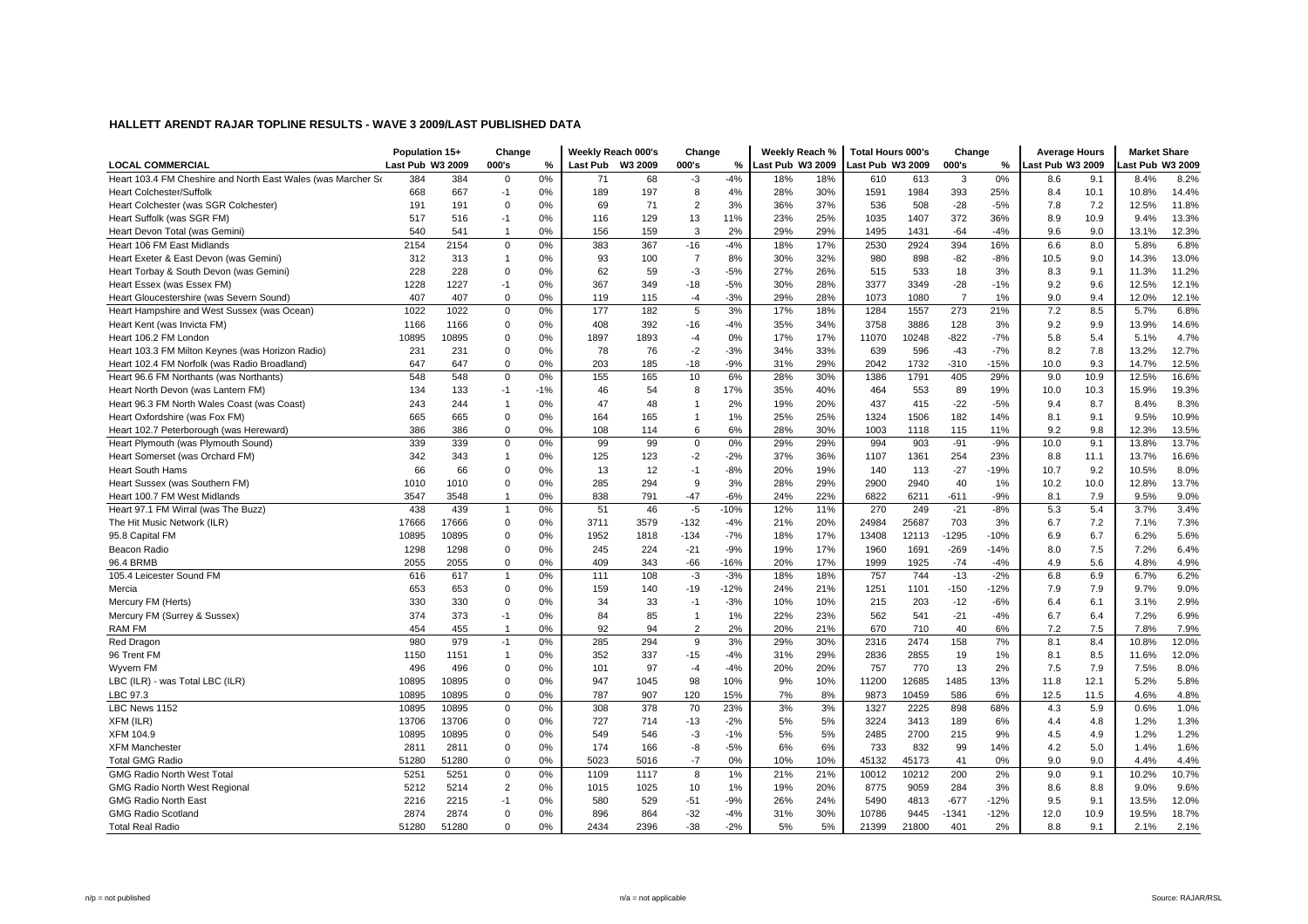|                                                              | Population 15+   |       | Change         |       | Weekly Reach 000's |      | Change         |        | Weekly Reach %   |     | <b>Total Hours 000's</b> |       | Change         |        | <b>Average Hours</b> |      | <b>Market Share</b> |       |
|--------------------------------------------------------------|------------------|-------|----------------|-------|--------------------|------|----------------|--------|------------------|-----|--------------------------|-------|----------------|--------|----------------------|------|---------------------|-------|
| <b>LOCAL COMMERCIAL</b>                                      | Last Pub W3 2009 |       | 000's          | %     | Last Pub W3 2009   |      | 000's          | ℅      | Last Pub W3 2009 |     | ast Pub W3 2009          |       | 000's          | %      | Last Pub W3 2009     |      | ast Pub W3 2009     |       |
| Heart 103.4 FM Cheshire and North East Wales (was Marcher So | 384              | 384   | $\mathbf 0$    | 0%    | 71                 | 68   | $-3$           | $-4%$  | 18%              | 18% | 610                      | 613   | 3              | 0%     | 8.6                  | 9.1  | 8.4%                | 8.2%  |
| <b>Heart Colchester/Suffolk</b>                              | 668              | 667   | $-1$           | 0%    | 189                | 197  | 8              | 4%     | 28%              | 30% | 1591                     | 1984  | 393            | 25%    | 8.4                  | 10.1 | 10.8%               | 14.4% |
| Heart Colchester (was SGR Colchester)                        | 191              | 191   | $\Omega$       | 0%    | 69                 | 71   | $\overline{2}$ | 3%     | 36%              | 37% | 536                      | 508   | $-28$          | $-5%$  | 7.8                  | 7.2  | 12.5%               | 11.8% |
| Heart Suffolk (was SGR FM)                                   | 517              | 516   | $-1$           | 0%    | 116                | 129  | 13             | 11%    | 23%              | 25% | 1035                     | 1407  | 372            | 36%    | 8.9                  | 10.9 | 9.4%                | 13.3% |
| Heart Devon Total (was Gemini)                               | 540              | 541   | $\mathbf{1}$   | 0%    | 156                | 159  | 3              | 2%     | 29%              | 29% | 1495                     | 1431  | $-64$          | $-4%$  | 9.6                  | 9.0  | 13.1%               | 12.3% |
| Heart 106 FM East Midlands                                   | 2154             | 2154  | $\Omega$       | 0%    | 383                | 367  | $-16$          | $-4%$  | 18%              | 17% | 2530                     | 2924  | 394            | 16%    | 6.6                  | 8.0  | 5.8%                | 6.8%  |
| Heart Exeter & East Devon (was Gemini)                       | 312              | 313   | $\overline{1}$ | 0%    | 93                 | 100  | $\overline{7}$ | 8%     | 30%              | 32% | 980                      | 898   | $-82$          | $-8%$  | 10.5                 | 9.0  | 14.3%               | 13.0% |
| Heart Torbay & South Devon (was Gemini)                      | 228              | 228   | $\mathbf 0$    | 0%    | 62                 | 59   | $-3$           | $-5%$  | 27%              | 26% | 515                      | 533   | 18             | 3%     | 8.3                  | 9.1  | 11.3%               | 11.2% |
| Heart Essex (was Essex FM)                                   | 1228             | 1227  | $-1$           | 0%    | 367                | 349  | $-18$          | $-5%$  | 30%              | 28% | 3377                     | 3349  | $-28$          | $-1%$  | 9.2                  | 9.6  | 12.5%               | 12.1% |
| Heart Gloucestershire (was Severn Sound)                     | 407              | 407   | $\mathbf 0$    | 0%    | 119                | 115  | $-4$           | $-3%$  | 29%              | 28% | 1073                     | 1080  | $\overline{7}$ | 1%     | 9.0                  | 9.4  | 12.0%               | 12.1% |
| Heart Hampshire and West Sussex (was Ocean)                  | 1022             | 1022  | $\mathbf 0$    | 0%    | 177                | 182  | 5              | 3%     | 17%              | 18% | 1284                     | 1557  | 273            | 21%    | 7.2                  | 8.5  | 5.7%                | 6.8%  |
| Heart Kent (was Invicta FM)                                  | 1166             | 1166  | $\Omega$       | 0%    | 408                | 392  | $-16$          | $-4%$  | 35%              | 34% | 3758                     | 3886  | 128            | 3%     | 9.2                  | 9.9  | 13.9%               | 14.6% |
| Heart 106.2 FM London                                        | 10895            | 10895 | $\Omega$       | 0%    | 1897               | 1893 | $-4$           | 0%     | 17%              | 17% | 11070                    | 10248 | $-822$         | $-7%$  | 5.8                  | 5.4  | 5.1%                | 4.7%  |
| Heart 103.3 FM Milton Keynes (was Horizon Radio)             | 231              | 231   | $\Omega$       | 0%    | 78                 | 76   | $-2$           | $-3%$  | 34%              | 33% | 639                      | 596   | $-43$          | $-7%$  | 8.2                  | 7.8  | 13.2%               | 12.7% |
| Heart 102.4 FM Norfolk (was Radio Broadland)                 | 647              | 647   | $\mathbf 0$    | 0%    | 203                | 185  | $-18$          | $-9%$  | 31%              | 29% | 2042                     | 1732  | $-310$         | $-15%$ | 10.0                 | 9.3  | 14.7%               | 12.5% |
| Heart 96.6 FM Northants (was Northants)                      | 548              | 548   | $\pmb{0}$      | 0%    | 155                | 165  | 10             | 6%     | 28%              | 30% | 1386                     | 1791  | 405            | 29%    | 9.0                  | 10.9 | 12.5%               | 16.6% |
| Heart North Devon (was Lantern FM)                           | 134              | 133   | $-1$           | $-1%$ | 46                 | 54   | 8              | 17%    | 35%              | 40% | 464                      | 553   | 89             | 19%    | 10.0                 | 10.3 | 15.9%               | 19.3% |
| Heart 96.3 FM North Wales Coast (was Coast)                  | 243              | 244   | $\overline{1}$ | 0%    | 47                 | 48   | $\mathbf{1}$   | 2%     | 19%              | 20% | 437                      | 415   | $-22$          | $-5%$  | 9.4                  | 8.7  | 8.4%                | 8.3%  |
| Heart Oxfordshire (was Fox FM)                               | 665              | 665   | $\Omega$       | 0%    | 164                | 165  | $\mathbf{1}$   | 1%     | 25%              | 25% | 1324                     | 1506  | 182            | 14%    | 8.1                  | 9.1  | 9.5%                | 10.9% |
| Heart 102.7 Peterborough (was Hereward)                      | 386              | 386   | $\Omega$       | 0%    | 108                | 114  | 6              | 6%     | 28%              | 30% | 1003                     | 1118  | 115            | 11%    | 9.2                  | 9.8  | 12.3%               | 13.5% |
| Heart Plymouth (was Plymouth Sound)                          | 339              | 339   | $\Omega$       | 0%    | 99                 | 99   | $\mathbf 0$    | 0%     | 29%              | 29% | 994                      | 903   | $-91$          | $-9%$  | 10.0                 | 9.1  | 13.8%               | 13.7% |
| Heart Somerset (was Orchard FM)                              | 342              | 343   | $\mathbf{1}$   | 0%    | 125                | 123  | $-2$           | $-2%$  | 37%              | 36% | 1107                     | 1361  | 254            | 23%    | 8.8                  | 11.1 | 13.7%               | 16.6% |
| <b>Heart South Hams</b>                                      | 66               | 66    | $\mathbf 0$    | 0%    | 13                 | 12   | $-1$           | $-8%$  | 20%              | 19% | 140                      | 113   | $-27$          | $-19%$ | 10.7                 | 9.2  | 10.5%               | 8.0%  |
| Heart Sussex (was Southern FM)                               | 1010             | 1010  | $\mathbf 0$    | 0%    | 285                | 294  | 9              | 3%     | 28%              | 29% | 2900                     | 2940  | 40             | 1%     | 10.2                 | 10.0 | 12.8%               | 13.7% |
| Heart 100.7 FM West Midlands                                 | 3547             | 3548  | $\overline{1}$ | 0%    | 838                | 791  | $-47$          | $-6%$  | 24%              | 22% | 6822                     | 6211  | $-611$         | $-9%$  | 8.1                  | 7.9  | 9.5%                | 9.0%  |
| Heart 97.1 FM Wirral (was The Buzz)                          | 438              | 439   | $\overline{1}$ | 0%    | 51                 | 46   | $-5$           | $-10%$ | 12%              | 11% | 270                      | 249   | $-21$          | $-8%$  | 5.3                  | 5.4  | 3.7%                | 3.4%  |
| The Hit Music Network (ILR)                                  | 17666            | 17666 | $\Omega$       | 0%    | 3711               | 3579 | $-132$         | $-4%$  | 21%              | 20% | 24984                    | 25687 | 703            | 3%     | 6.7                  | 7.2  | 7.1%                | 7.3%  |
| 95.8 Capital FM                                              | 10895            | 10895 | $\Omega$       | 0%    | 1952               | 1818 | $-134$         | $-7%$  | 18%              | 17% | 13408                    | 12113 | $-1295$        | $-10%$ | 6.9                  | 6.7  | 6.2%                | 5.6%  |
| Beacon Radio                                                 | 1298             | 1298  | $\mathbf 0$    | 0%    | 245                | 224  | $-21$          | $-9%$  | 19%              | 17% | 1960                     | 1691  | $-269$         | $-14%$ | 8.0                  | 7.5  | 7.2%                | 6.4%  |
| 96.4 BRMB                                                    | 2055             | 2055  | $\mathbf 0$    | 0%    | 409                | 343  | $-66$          | $-16%$ | 20%              | 17% | 1999                     | 1925  | $-74$          | $-4%$  | 4.9                  | 5.6  | 4.8%                | 4.9%  |
| 105.4 Leicester Sound FM                                     | 616              | 617   | $\overline{1}$ | 0%    | 111                | 108  | $-3$           | $-3%$  | 18%              | 18% | 757                      | 744   | $-13$          | $-2%$  | 6.8                  | 6.9  | 6.7%                | 6.2%  |
| Mercia                                                       | 653              | 653   | $\mathbf 0$    | 0%    | 159                | 140  | $-19$          | $-12%$ | 24%              | 21% | 1251                     | 1101  | $-150$         | $-12%$ | 7.9                  | 7.9  | 9.7%                | 9.0%  |
| Mercury FM (Herts)                                           | 330              | 330   | $\Omega$       | 0%    | 34                 | 33   | $-1$           | $-3%$  | 10%              | 10% | 215                      | 203   | $-12$          | $-6%$  | 6.4                  | 6.1  | 3.1%                | 2.9%  |
| Mercury FM (Surrey & Sussex)                                 | 374              | 373   | $-1$           | 0%    | 84                 | 85   | $\mathbf{1}$   | 1%     | 22%              | 23% | 562                      | 541   | $-21$          | $-4%$  | 6.7                  | 6.4  | 7.2%                | 6.9%  |
| RAM FM                                                       | 454              | 455   | $\overline{1}$ | 0%    | 92                 | 94   | $\overline{2}$ | 2%     | 20%              | 21% | 670                      | 710   | 40             | 6%     | 7.2                  | 7.5  | 7.8%                | 7.9%  |
| Red Dragon                                                   | 980              | 979   | $-1$           | 0%    | 285                | 294  | 9              | 3%     | 29%              | 30% | 2316                     | 2474  | 158            | 7%     | 8.1                  | 8.4  | 10.8%               | 12.0% |
| 96 Trent FM                                                  | 1150             | 1151  | $\overline{1}$ | 0%    | 352                | 337  | $-15$          | $-4%$  | 31%              | 29% | 2836                     | 2855  | 19             | 1%     | 8.1                  | 8.5  | 11.6%               | 12.0% |
| Wyvern FM                                                    | 496              | 496   | $\Omega$       | 0%    | 101                | 97   | $-4$           | $-4%$  | 20%              | 20% | 757                      | 770   | 13             | 2%     | 7.5                  | 7.9  | 7.5%                | 8.0%  |
| LBC (ILR) - was Total LBC (ILR)                              | 10895            | 10895 | $\Omega$       | 0%    | 947                | 1045 | 98             | 10%    | 9%               | 10% | 11200                    | 12685 | 1485           | 13%    | 11.8                 | 12.1 | 5.2%                | 5.8%  |
| LBC 97.3                                                     | 10895            | 10895 | $\Omega$       | 0%    | 787                | 907  | 120            | 15%    | 7%               | 8%  | 9873                     | 10459 | 586            | 6%     | 12.5                 | 11.5 | 4.6%                | 4.8%  |
| LBC News 1152                                                | 10895            | 10895 | $\mathbf 0$    | 0%    | 308                | 378  | 70             | 23%    | 3%               | 3%  | 1327                     | 2225  | 898            | 68%    | 4.3                  | 5.9  | 0.6%                | 1.0%  |
| XFM (ILR)                                                    | 13706            | 13706 | $\Omega$       | 0%    | 727                | 714  | $-13$          | $-2%$  | 5%               | 5%  | 3224                     | 3413  | 189            | 6%     | 4.4                  | 4.8  | 1.2%                | 1.3%  |
| <b>XFM 104.9</b>                                             | 10895            | 10895 | $\mathbf 0$    | 0%    | 549                | 546  | $-3$           | $-1%$  | 5%               | 5%  | 2485                     | 2700  | 215            | 9%     | 4.5                  | 4.9  | 1.2%                | 1.2%  |
| <b>XFM Manchester</b>                                        | 2811             | 2811  | $\Omega$       | 0%    | 174                | 166  | -8             | $-5%$  | 6%               | 6%  | 733                      | 832   | 99             | 14%    | 4.2                  | 5.0  | 1.4%                | 1.6%  |
| <b>Total GMG Radio</b>                                       | 51280            | 51280 | $\Omega$       | 0%    | 5023               | 5016 | $-7$           | 0%     | 10%              | 10% | 45132                    | 45173 | 41             | 0%     | 9.0                  | 9.0  | 4.4%                | 4.4%  |
| <b>GMG Radio North West Total</b>                            | 525'             | 5251  | $\Omega$       | 0%    | 1109               | 1117 | 8              | 1%     | 21%              | 21% | 10012                    | 10212 | 200            | 2%     | 9.0                  | 9.1  | 10.2%               | 10.7% |
| <b>GMG Radio North West Regional</b>                         | 5212             | 5214  | $\overline{2}$ | 0%    | 1015               | 1025 | 10             | 1%     | 19%              | 20% | 8775                     | 9059  | 284            | 3%     | 8.6                  | 8.8  | 9.0%                | 9.6%  |
| <b>GMG Radio North East</b>                                  | 2216             | 2215  | $-1$           | 0%    | 580                | 529  | $-51$          | $-9%$  | 26%              | 24% | 5490                     | 4813  | $-677$         | $-12%$ | 9.5                  | 9.1  | 13.5%               | 12.0% |
| <b>GMG Radio Scotland</b>                                    | 2874             | 2874  | $\Omega$       | 0%    | 896                | 864  | $-32$          | $-4%$  | 31%              | 30% | 10786                    | 9445  | $-1341$        | $-12%$ | 12.0                 | 10.9 | 19.5%               | 18.7% |
| <b>Total Real Radio</b>                                      | 51280            | 51280 | $\Omega$       | 0%    | 2434               | 2396 | $-38$          | $-2%$  | 5%               | 5%  | 21399                    | 21800 | 401            | 2%     | 8.8                  | 9.1  | 2.1%                | 2.1%  |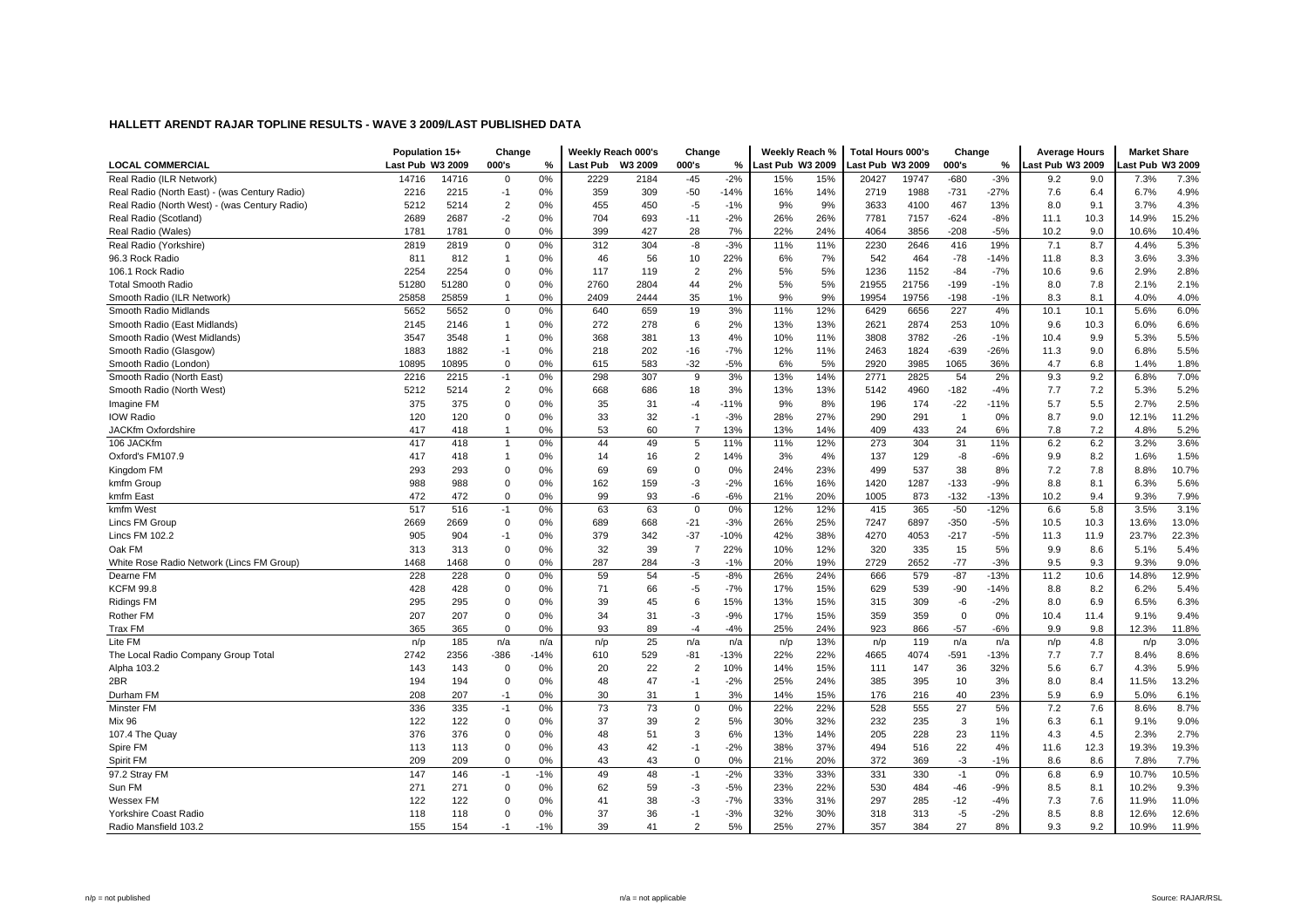|                                               | Population 15+   |       | Change         |        |                 | Weekly Reach 000's | Change         |        | Weekly Reach %   |     | <b>Total Hours 000's</b> |       | Change         |        | <b>Average Hours</b> |      | <b>Market Share</b> |       |
|-----------------------------------------------|------------------|-------|----------------|--------|-----------------|--------------------|----------------|--------|------------------|-----|--------------------------|-------|----------------|--------|----------------------|------|---------------------|-------|
| <b>LOCAL COMMERCIAL</b>                       | Last Pub W3 2009 |       | 000's          | %      | <b>Last Pub</b> | W3 2009            | 000's          | %      | Last Pub W3 2009 |     | Last Pub W3 2009         |       | 000's          | ℅      | Last Pub W3 2009     |      | ast Pub W3 2009     |       |
| Real Radio (ILR Network)                      | 14716            | 14716 | $\mathbf 0$    | 0%     | 2229            | 2184               | $-45$          | $-2%$  | 15%              | 15% | 20427                    | 19747 | $-680$         | $-3%$  | 9.2                  | 9.0  | 7.3%                | 7.3%  |
| Real Radio (North East) - (was Century Radio) | 2216             | 2215  | $-1$           | 0%     | 359             | 309                | $-50$          | $-14%$ | 16%              | 14% | 2719                     | 1988  | $-731$         | $-27%$ | 7.6                  | 6.4  | 6.7%                | 4.9%  |
| Real Radio (North West) - (was Century Radio) | 5212             | 5214  | $\overline{c}$ | 0%     | 455             | 450                | $-5$           | $-1%$  | 9%               | 9%  | 3633                     | 4100  | 467            | 13%    | 8.0                  | 9.1  | 3.7%                | 4.3%  |
| Real Radio (Scotland)                         | 2689             | 2687  | $-2$           | 0%     | 704             | 693                | $-11$          | $-2%$  | 26%              | 26% | 7781                     | 7157  | $-624$         | $-8%$  | 11.1                 | 10.3 | 14.9%               | 15.2% |
| Real Radio (Wales)                            | 1781             | 1781  | $\Omega$       | 0%     | 399             | 427                | 28             | 7%     | 22%              | 24% | 4064                     | 3856  | $-208$         | $-5%$  | 10.2                 | 9.0  | 10.6%               | 10.4% |
| Real Radio (Yorkshire)                        | 2819             | 2819  | $\Omega$       | 0%     | 312             | 304                | -8             | $-3%$  | 11%              | 11% | 2230                     | 2646  | 416            | 19%    | 7.1                  | 8.7  | 4.4%                | 5.3%  |
| 96.3 Rock Radio                               | 811              | 812   | $\overline{1}$ | 0%     | 46              | 56                 | 10             | 22%    | 6%               | 7%  | 542                      | 464   | $-78$          | $-14%$ | 11.8                 | 8.3  | 3.6%                | 3.3%  |
| 106.1 Rock Radio                              | 2254             | 2254  | $\mathbf 0$    | 0%     | 117             | 119                | $\overline{2}$ | 2%     | 5%               | 5%  | 1236                     | 1152  | $-84$          | $-7%$  | 10.6                 | 9.6  | 2.9%                | 2.8%  |
| <b>Total Smooth Radio</b>                     | 51280            | 51280 | $\mathbf 0$    | 0%     | 2760            | 2804               | 44             | 2%     | 5%               | 5%  | 21955                    | 21756 | $-199$         | $-1%$  | 8.0                  | 7.8  | 2.1%                | 2.1%  |
| Smooth Radio (ILR Network)                    | 25858            | 25859 | -1             | 0%     | 2409            | 2444               | 35             | 1%     | 9%               | 9%  | 19954                    | 19756 | -198           | $-1%$  | 8.3                  | 8.1  | 4.0%                | 4.0%  |
| Smooth Radio Midlands                         | 5652             | 5652  | 0              | 0%     | 640             | 659                | 19             | 3%     | 11%              | 12% | 6429                     | 6656  | 227            | 4%     | 10.1                 | 10.1 | 5.6%                | 6.0%  |
| Smooth Radio (East Midlands)                  | 2145             | 2146  | $\mathbf{1}$   | 0%     | 272             | 278                | 6              | 2%     | 13%              | 13% | 2621                     | 2874  | 253            | 10%    | 9.6                  | 10.3 | 6.0%                | 6.6%  |
| Smooth Radio (West Midlands)                  | 3547             | 3548  | $\mathbf{1}$   | 0%     | 368             | 381                | 13             | 4%     | 10%              | 11% | 3808                     | 3782  | $-26$          | $-1%$  | 10.4                 | 9.9  | 5.3%                | 5.5%  |
| Smooth Radio (Glasgow)                        | 1883             | 1882  | $-1$           | 0%     | 218             | 202                | $-16$          | $-7%$  | 12%              | 11% | 2463                     | 1824  | $-639$         | $-26%$ | 11.3                 | 9.0  | 6.8%                | 5.5%  |
| Smooth Radio (London)                         | 10895            | 10895 | $\mathbf 0$    | 0%     | 615             | 583                | $-32$          | $-5%$  | 6%               | 5%  | 2920                     | 3985  | 1065           | 36%    | 4.7                  | 6.8  | 1.4%                | 1.8%  |
| Smooth Radio (North East)                     | 2216             | 2215  | $-1$           | 0%     | 298             | 307                | 9              | 3%     | 13%              | 14% | 2771                     | 2825  | 54             | 2%     | 9.3                  | 9.2  | 6.8%                | 7.0%  |
| Smooth Radio (North West)                     | 5212             | 5214  | $\overline{2}$ | 0%     | 668             | 686                | 18             | 3%     | 13%              | 13% | 5142                     | 4960  | $-182$         | -4%    | 7.7                  | 7.2  | 5.3%                | 5.2%  |
| Imagine FM                                    | 375              | 375   | $\Omega$       | 0%     | 35              | 31                 | $-4$           | $-11%$ | 9%               | 8%  | 196                      | 174   | $-22$          | $-11%$ | 5.7                  | 5.5  | 2.7%                | 2.5%  |
| <b>IOW Radio</b>                              | 120              | 120   | $\Omega$       | 0%     | 33              | 32                 | $-1$           | $-3%$  | 28%              | 27% | 290                      | 291   | $\overline{1}$ | 0%     | 8.7                  | 9.0  | 12.1%               | 11.2% |
| JACKfm Oxfordshire                            | 417              | 418   | -1             | 0%     | 53              | 60                 | $\overline{7}$ | 13%    | 13%              | 14% | 409                      | 433   | 24             | 6%     | 7.8                  | 7.2  | 4.8%                | 5.2%  |
| 106 JACKfm                                    | 417              | 418   | $\overline{1}$ | 0%     | 44              | 49                 | 5              | 11%    | 11%              | 12% | 273                      | 304   | 31             | 11%    | 6.2                  | 6.2  | 3.2%                | 3.6%  |
| Oxford's FM107.9                              | 417              | 418   | $\mathbf{1}$   | 0%     | 14              | 16                 | $\overline{2}$ | 14%    | 3%               | 4%  | 137                      | 129   | -8             | $-6%$  | 9.9                  | 8.2  | 1.6%                | 1.5%  |
| Kingdom FM                                    | 293              | 293   | 0              | 0%     | 69              | 69                 | $\pmb{0}$      | 0%     | 24%              | 23% | 499                      | 537   | 38             | 8%     | 7.2                  | 7.8  | 8.8%                | 10.7% |
| kmfm Group                                    | 988              | 988   | $\mathbf 0$    | 0%     | 162             | 159                | $-3$           | $-2%$  | 16%              | 16% | 1420                     | 1287  | $-133$         | $-9%$  | 8.8                  | 8.1  | 6.3%                | 5.6%  |
| kmfm East                                     | 472              | 472   | $\Omega$       | 0%     | 99              | 93                 | -6             | $-6%$  | 21%              | 20% | 1005                     | 873   | $-132$         | $-13%$ | 10.2                 | 9.4  | 9.3%                | 7.9%  |
| kmfm West                                     | 517              | 516   | $-1$           | 0%     | 63              | 63                 | $\mathbf 0$    | 0%     | 12%              | 12% | 415                      | 365   | $-50$          | $-12%$ | 6.6                  | 5.8  | 3.5%                | 3.1%  |
| Lincs FM Group                                | 2669             | 2669  | $\Omega$       | 0%     | 689             | 668                | $-21$          | $-3%$  | 26%              | 25% | 7247                     | 6897  | $-350$         | $-5%$  | 10.5                 | 10.3 | 13.6%               | 13.0% |
| Lincs FM 102.2                                | 905              | 904   | $-1$           | 0%     | 379             | 342                | $-37$          | $-10%$ | 42%              | 38% | 4270                     | 4053  | $-217$         | $-5%$  | 11.3                 | 11.9 | 23.7%               | 22.3% |
| Oak FM                                        | 313              | 313   | $\mathbf 0$    | 0%     | 32              | 39                 | $\overline{7}$ | 22%    | 10%              | 12% | 320                      | 335   | 15             | 5%     | 9.9                  | 8.6  | 5.1%                | 5.4%  |
| White Rose Radio Network (Lincs FM Group)     | 1468             | 1468  | $\Omega$       | 0%     | 287             | 284                | $-3$           | $-1%$  | 20%              | 19% | 2729                     | 2652  | $-77$          | $-3%$  | 9.5                  | 9.3  | 9.3%                | 9.0%  |
| Dearne FM                                     | 228              | 228   | $\Omega$       | 0%     | 59              | 54                 | $-5$           | $-8%$  | 26%              | 24% | 666                      | 579   | $-87$          | $-13%$ | 11.2                 | 10.6 | 14.8%               | 12.9% |
| <b>KCFM 99.8</b>                              | 428              | 428   | $\Omega$       | 0%     | 71              | 66                 | $-5$           | $-7%$  | 17%              | 15% | 629                      | 539   | $-90$          | $-14%$ | 8.8                  | 8.2  | 6.2%                | 5.4%  |
| <b>Ridings FM</b>                             | 295              | 295   | $\Omega$       | 0%     | 39              | 45                 | 6              | 15%    | 13%              | 15% | 315                      | 309   | -6             | $-2%$  | 8.0                  | 6.9  | 6.5%                | 6.3%  |
| Rother FM                                     | 207              | 207   | $\Omega$       | 0%     | 34              | 31                 | $-3$           | $-9%$  | 17%              | 15% | 359                      | 359   | $\mathbf 0$    | 0%     | 10.4                 | 11.4 | 9.1%                | 9.4%  |
| Trax FM                                       | 365              | 365   | $\Omega$       | 0%     | 93              | 89                 | $-4$           | $-4%$  | 25%              | 24% | 923                      | 866   | $-57$          | $-6%$  | 9.9                  | 9.8  | 12.3%               | 11.8% |
| Lite FM                                       | n/p              | 185   | n/a            | n/a    | n/p             | 25                 | n/a            | n/a    | n/p              | 13% | n/p                      | 119   | n/a            | n/a    | n/p                  | 4.8  | n/p                 | 3.0%  |
| The Local Radio Company Group Total           | 2742             | 2356  | $-386$         | $-14%$ | 610             | 529                | $-81$          | $-13%$ | 22%              | 22% | 4665                     | 4074  | $-591$         | $-13%$ | 7.7                  | 7.7  | 8.4%                | 8.6%  |
| Alpha 103.2                                   | 143              | 143   | $\mathbf 0$    | 0%     | 20              | 22                 | $\overline{2}$ | 10%    | 14%              | 15% | 111                      | 147   | 36             | 32%    | 5.6                  | 6.7  | 4.3%                | 5.9%  |
| 2BR                                           | 194              | 194   | $\Omega$       | 0%     | 48              | 47                 | $-1$           | $-2%$  | 25%              | 24% | 385                      | 395   | 10             | 3%     | 8.0                  | 8.4  | 11.5%               | 13.2% |
| Durham FM                                     | 208              | 207   | $-1$           | 0%     | 30              | 31                 | $\overline{1}$ | 3%     | 14%              | 15% | 176                      | 216   | 40             | 23%    | 5.9                  | 6.9  | 5.0%                | 6.1%  |
| Minster FM                                    | 336              | 335   | $-1$           | 0%     | 73              | 73                 | $\mathbf 0$    | 0%     | 22%              | 22% | 528                      | 555   | 27             | 5%     | 7.2                  | 7.6  | 8.6%                | 8.7%  |
| Mix 96                                        | 122              | 122   | $\Omega$       | 0%     | 37              | 39                 | $\overline{2}$ | 5%     | 30%              | 32% | 232                      | 235   | $\mathbf{3}$   | 1%     | 6.3                  | 6.1  | 9.1%                | 9.0%  |
| 107.4 The Quay                                | 376              | 376   | $\mathbf 0$    | 0%     | 48              | 51                 | 3              | 6%     | 13%              | 14% | 205                      | 228   | 23             | 11%    | 4.3                  | 4.5  | 2.3%                | 2.7%  |
| Spire FM                                      | 113              | 113   | $\Omega$       | 0%     | 43              | 42                 | $-1$           | $-2%$  | 38%              | 37% | 494                      | 516   | 22             | 4%     | 11.6                 | 12.3 | 19.3%               | 19.3% |
| Spirit FM                                     | 209              | 209   | $\Omega$       | 0%     | 43              | 43                 | $\mathbf 0$    | 0%     | 21%              | 20% | 372                      | 369   | $-3$           | $-1%$  | 8.6                  | 8.6  | 7.8%                | 7.7%  |
| 97.2 Stray FM                                 | 147              | 146   | $-1$           | $-1%$  | 49              | 48                 | $-1$           | $-2%$  | 33%              | 33% | 331                      | 330   | $-1$           | 0%     | 6.8                  | 6.9  | 10.7%               | 10.5% |
| Sun FM                                        | 271              | 271   | $\Omega$       | 0%     | 62              | 59                 | $-3$           | $-5%$  | 23%              | 22% | 530                      | 484   | $-46$          | $-9%$  | 8.5                  | 8.1  | 10.2%               | 9.3%  |
| <b>Wessex FM</b>                              | 122              | 122   | $\Omega$       | 0%     | 41              | 38                 | $-3$           | $-7%$  | 33%              | 31% | 297                      | 285   | $-12$          | $-4%$  | 7.3                  | 7.6  | 11.9%               | 11.0% |
| Yorkshire Coast Radio                         | 118              | 118   | $\Omega$       | 0%     | 37              | 36                 | $-1$           | $-3%$  | 32%              | 30% | 318                      | 313   | $-5$           | $-2%$  | 8.5                  | 8.8  | 12.6%               | 12.6% |
| Radio Mansfield 103.2                         | 155              | 154   | $-1$           | $-1%$  | 39              | 41                 | 2              | 5%     | 25%              | 27% | 357                      | 384   | 27             | 8%     | 9.3                  | 9.2  | 10.9%               | 11.9% |
|                                               |                  |       |                |        |                 |                    |                |        |                  |     |                          |       |                |        |                      |      |                     |       |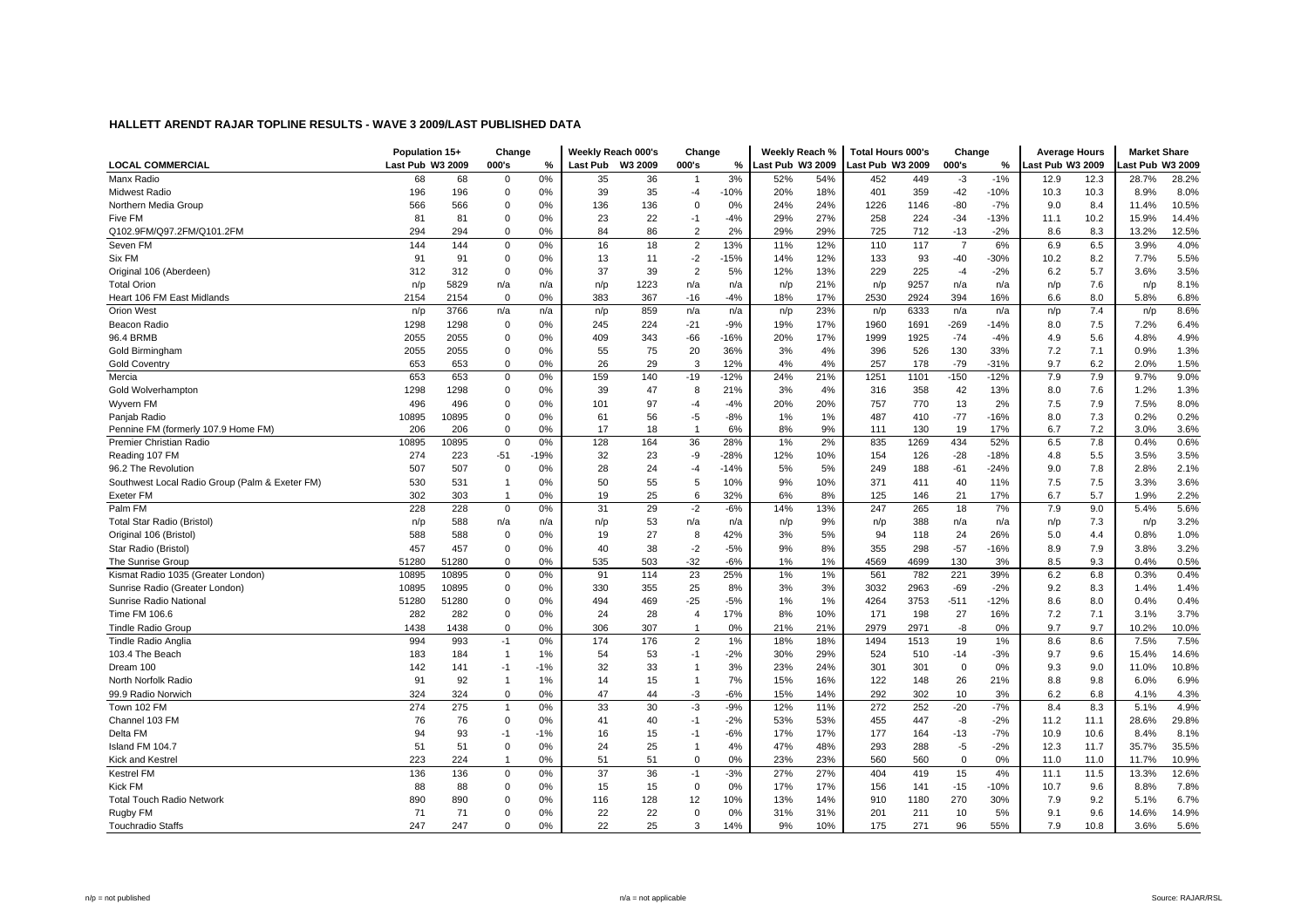|                                                | Population 15+   |       | Change         |        |                 | Weekly Reach 000's | Change         |        | Weekly Reach %   |     | <b>Total Hours 000's</b> |      | Change         |        | <b>Average Hours</b> |      | <b>Market Share</b> |       |
|------------------------------------------------|------------------|-------|----------------|--------|-----------------|--------------------|----------------|--------|------------------|-----|--------------------------|------|----------------|--------|----------------------|------|---------------------|-------|
| <b>LOCAL COMMERCIAL</b>                        | Last Pub W3 2009 |       | 000's          | %      | <b>Last Pub</b> | W3 2009            | 000's          | %      | Last Pub W3 2009 |     | ast Pub W3 2009          |      | 000's          | %      | ast Pub W3 2009.     |      | ast Pub W3 2009     |       |
| Manx Radio                                     | 68               | 68    | $\Omega$       | 0%     | 35              | 36                 |                | 3%     | 52%              | 54% | 452                      | 449  | $-3$           | $-1%$  | 12.9                 | 12.3 | 28.7%               | 28.2% |
| <b>Midwest Radio</b>                           | 196              | 196   | $\mathbf 0$    | 0%     | 39              | 35                 | $-4$           | $-10%$ | 20%              | 18% | 401                      | 359  | $-42$          | $-10%$ | 10.3                 | 10.3 | 8.9%                | 8.0%  |
| Northern Media Group                           | 566              | 566   | $\mathbf 0$    | 0%     | 136             | 136                | $\Omega$       | 0%     | 24%              | 24% | 1226                     | 1146 | $-80$          | $-7%$  | 9.0                  | 8.4  | 11.4%               | 10.5% |
| Five FM                                        | 81               | 81    | $\Omega$       | 0%     | 23              | 22                 | $-1$           | $-4%$  | 29%              | 27% | 258                      | 224  | $-34$          | $-13%$ | 11.1                 | 10.2 | 15.9%               | 14.4% |
| Q102.9FM/Q97.2FM/Q101.2FM                      | 294              | 294   | $\Omega$       | 0%     | 84              | 86                 | $\overline{2}$ | 2%     | 29%              | 29% | 725                      | 712  | $-13$          | $-2%$  | 8.6                  | 8.3  | 13.2%               | 12.5% |
| Seven FM                                       | 144              | 144   | 0              | 0%     | 16              | 18                 | $\overline{2}$ | 13%    | 11%              | 12% | 110                      | 117  | $\overline{7}$ | 6%     | 6.9                  | 6.5  | 3.9%                | 4.0%  |
| Six FM                                         | 91               | 91    | $\Omega$       | 0%     | 13              | 11                 | $-2$           | $-15%$ | 14%              | 12% | 133                      | 93   | -40            | $-30%$ | 10.2                 | 8.2  | 7.7%                | 5.5%  |
| Original 106 (Aberdeen)                        | 312              | 312   | $\mathbf 0$    | 0%     | 37              | 39                 | $\overline{2}$ | 5%     | 12%              | 13% | 229                      | 225  | $-4$           | $-2%$  | 6.2                  | 5.7  | 3.6%                | 3.5%  |
| <b>Total Orion</b>                             | n/p              | 5829  | n/a            | n/a    | n/p             | 1223               | n/a            | n/a    | n/p              | 21% | n/p                      | 9257 | n/a            | n/a    | n/p                  | 7.6  | n/p                 | 8.1%  |
| Heart 106 FM East Midlands                     | 2154             | 2154  | $\mathbf 0$    | 0%     | 383             | 367                | $-16$          | $-4%$  | 18%              | 17% | 2530                     | 2924 | 394            | 16%    | 6.6                  | 8.0  | 5.8%                | 6.8%  |
| <b>Orion West</b>                              | n/p              | 3766  | n/a            | n/a    | n/p             | 859                | n/a            | n/a    | n/p              | 23% | n/p                      | 6333 | n/a            | n/a    | n/p                  | 7.4  | n/p                 | 8.6%  |
| Beacon Radio                                   | 1298             | 1298  | $\mathbf 0$    | 0%     | 245             | 224                | $-21$          | $-9%$  | 19%              | 17% | 1960                     | 1691 | $-269$         | $-14%$ | 8.0                  | 7.5  | 7.2%                | 6.4%  |
| 96.4 BRMB                                      | 2055             | 2055  | 0              | 0%     | 409             | 343                | $-66$          | $-16%$ | 20%              | 17% | 1999                     | 1925 | $-74$          | $-4%$  | 4.9                  | 5.6  | 4.8%                | 4.9%  |
| Gold Birmingham                                | 2055             | 2055  | $\Omega$       | 0%     | 55              | 75                 | 20             | 36%    | 3%               | 4%  | 396                      | 526  | 130            | 33%    | 7.2                  | 7.1  | 0.9%                | 1.3%  |
| <b>Gold Coventry</b>                           | 653              | 653   | $\Omega$       | 0%     | 26              | 29                 | 3              | 12%    | 4%               | 4%  | 257                      | 178  | $-79$          | $-31%$ | 9.7                  | 6.2  | 2.0%                | 1.5%  |
| Mercia                                         | 653              | 653   | $\mathbf 0$    | 0%     | 159             | 140                | $-19$          | $-12%$ | 24%              | 21% | 1251                     | 1101 | $-150$         | $-12%$ | 7.9                  | 7.9  | 9.7%                | 9.0%  |
| Gold Wolverhampton                             | 1298             | 1298  | 0              | 0%     | 39              | 47                 | 8              | 21%    | 3%               | 4%  | 316                      | 358  | 42             | 13%    | 8.0                  | 7.6  | 1.2%                | 1.3%  |
| Wyvern FM                                      | 496              | 496   | $\mathbf 0$    | 0%     | 101             | 97                 | $-4$           | $-4%$  | 20%              | 20% | 757                      | 770  | 13             | 2%     | 7.5                  | 7.9  | 7.5%                | 8.0%  |
| Paniab Radio                                   | 10895            | 10895 | $\Omega$       | 0%     | 61              | 56                 | $-5$           | $-8%$  | 1%               | 1%  | 487                      | 410  | $-77$          | $-16%$ | 8.0                  | 7.3  | 0.2%                | 0.2%  |
| Pennine FM (formerly 107.9 Home FM)            | 206              | 206   | $\Omega$       | 0%     | 17              | 18                 | $\overline{1}$ | 6%     | 8%               | 9%  | 111                      | 130  | 19             | 17%    | 6.7                  | 7.2  | 3.0%                | 3.6%  |
| <b>Premier Christian Radio</b>                 | 10895            | 10895 | $\Omega$       | 0%     | 128             | 164                | 36             | 28%    | 1%               | 2%  | 835                      | 1269 | 434            | 52%    | 6.5                  | 7.8  | 0.4%                | 0.6%  |
| Reading 107 FM                                 | 274              | 223   | $-51$          | $-19%$ | 32              | 23                 | -9             | $-28%$ | 12%              | 10% | 154                      | 126  | $-28$          | $-18%$ | 4.8                  | 5.5  | 3.5%                | 3.5%  |
| 96.2 The Revolution                            | 507              | 507   | 0              | 0%     | 28              | 24                 | $-4$           | $-14%$ | 5%               | 5%  | 249                      | 188  | $-61$          | $-24%$ | 9.0                  | 7.8  | 2.8%                | 2.1%  |
| Southwest Local Radio Group (Palm & Exeter FM) | 530              | 531   | $\overline{1}$ | 0%     | 50              | 55                 | 5              | 10%    | 9%               | 10% | 371                      | 411  | 40             | 11%    | 7.5                  | 7.5  | 3.3%                | 3.6%  |
| <b>Exeter FM</b>                               | 302              | 303   | $\overline{1}$ | 0%     | 19              | 25                 | 6              | 32%    | 6%               | 8%  | 125                      | 146  | 21             | 17%    | 6.7                  | 5.7  | 1.9%                | 2.2%  |
| Palm FM                                        | 228              | 228   | $\mathbf 0$    | 0%     | 31              | 29                 | $-2$           | $-6%$  | 14%              | 13% | 247                      | 265  | 18             | 7%     | 7.9                  | 9.0  | 5.4%                | 5.6%  |
| Total Star Radio (Bristol)                     | n/p              | 588   | n/a            | n/a    | n/p             | 53                 | n/a            | n/a    | n/p              | 9%  | n/p                      | 388  | n/a            | n/a    | n/p                  | 7.3  | n/p                 | 3.2%  |
| Original 106 (Bristol)                         | 588              | 588   | $\Omega$       | 0%     | 19              | 27                 | 8              | 42%    | 3%               | 5%  | 94                       | 118  | 24             | 26%    | 5.0                  | 4.4  | 0.8%                | 1.0%  |
| Star Radio (Bristol)                           | 457              | 457   | $\mathbf 0$    | 0%     | 40              | 38                 | $-2$           | $-5%$  | 9%               | 8%  | 355                      | 298  | $-57$          | $-16%$ | 8.9                  | 7.9  | 3.8%                | 3.2%  |
| The Sunrise Group                              | 51280            | 51280 | $\Omega$       | 0%     | 535             | 503                | $-32$          | $-6%$  | 1%               | 1%  | 4569                     | 4699 | 130            | 3%     | 8.5                  | 9.3  | 0.4%                | 0.5%  |
| Kismat Radio 1035 (Greater London)             | 10895            | 10895 | $\Omega$       | 0%     | 91              | 114                | 23             | 25%    | 1%               | 1%  | 561                      | 782  | 221            | 39%    | 6.2                  | 6.8  | 0.3%                | 0.4%  |
| Sunrise Radio (Greater London)                 | 10895            | 10895 | $\Omega$       | 0%     | 330             | 355                | 25             | 8%     | 3%               | 3%  | 3032                     | 2963 | $-69$          | $-2%$  | 9.2                  | 8.3  | 1.4%                | 1.4%  |
| Sunrise Radio National                         | 51280            | 51280 | $\Omega$       | 0%     | 494             | 469                | $-25$          | $-5%$  | 1%               | 1%  | 4264                     | 3753 | $-511$         | $-12%$ | 8.6                  | 8.0  | 0.4%                | 0.4%  |
| Time FM 106.6                                  | 282              | 282   | 0              | 0%     | 24              | 28                 | $\overline{4}$ | 17%    | 8%               | 10% | 171                      | 198  | 27             | 16%    | 7.2                  | 7.1  | 3.1%                | 3.7%  |
| <b>Tindle Radio Group</b>                      | 1438             | 1438  | $\Omega$       | 0%     | 306             | 307                | $\mathbf{1}$   | 0%     | 21%              | 21% | 2979                     | 2971 | -8             | 0%     | 9.7                  | 9.7  | 10.2%               | 10.0% |
| <b>Tindle Radio Anglia</b>                     | 994              | 993   | $-1$           | 0%     | 174             | 176                | 2              | 1%     | 18%              | 18% | 1494                     | 1513 | 19             | 1%     | 8.6                  | 8.6  | 7.5%                | 7.5%  |
| 103.4 The Beach                                | 183              | 184   | -1             | 1%     | 54              | 53                 | $-1$           | $-2%$  | 30%              | 29% | 524                      | 510  | $-14$          | $-3%$  | 9.7                  | 9.6  | 15.4%               | 14.6% |
| Dream 100                                      | 142              | 141   | -1             | $-1%$  | 32              | 33                 | $\overline{1}$ | 3%     | 23%              | 24% | 301                      | 301  | $\mathbf 0$    | 0%     | 9.3                  | 9.0  | 11.0%               | 10.8% |
| North Norfolk Radio                            | 91               | 92    | $\overline{1}$ | 1%     | 14              | 15                 | $\mathbf{1}$   | 7%     | 15%              | 16% | 122                      | 148  | 26             | 21%    | 8.8                  | 9.8  | 6.0%                | 6.9%  |
| 99.9 Radio Norwich                             | 324              | 324   | $\Omega$       | 0%     | 47              | 44                 | $-3$           | $-6%$  | 15%              | 14% | 292                      | 302  | 10             | 3%     | 6.2                  | 6.8  | 4.1%                | 4.3%  |
| Town 102 FM                                    | 274              | 275   | $\overline{1}$ | 0%     | 33              | 30                 | $-3$           | $-9%$  | 12%              | 11% | 272                      | 252  | $-20$          | $-7%$  | 8.4                  | 8.3  | 5.1%                | 4.9%  |
| Channel 103 FM                                 | 76               | 76    | $\Omega$       | 0%     | 41              | 40                 | $-1$           | $-2%$  | 53%              | 53% | 455                      | 447  | -8             | $-2%$  | 11.2                 | 11.1 | 28.6%               | 29.8% |
| Delta FM                                       | 94               | 93    | $-1$           | $-1%$  | 16              | 15                 | $-1$           | $-6%$  | 17%              | 17% | 177                      | 164  | $-13$          | $-7%$  | 10.9                 | 10.6 | 8.4%                | 8.1%  |
| Island FM 104.7                                | 51               | 51    | 0              | 0%     | 24              | 25                 | $\mathbf{1}$   | 4%     | 47%              | 48% | 293                      | 288  | $-5$           | $-2%$  | 12.3                 | 11.7 | 35.7%               | 35.5% |
| Kick and Kestre                                | 223              | 224   | -1             | 0%     | 51              | 51                 | $\mathbf 0$    | 0%     | 23%              | 23% | 560                      | 560  | 0              | 0%     | 11.0                 | 11.0 | 11.7%               | 10.9% |
| <b>Kestrel FM</b>                              | 136              | 136   | $\mathbf 0$    | 0%     | 37              | 36                 | $-1$           | $-3%$  | 27%              | 27% | 404                      | 419  | 15             | 4%     | 11.1                 | 11.5 | 13.3%               | 12.6% |
| Kick FM                                        | 88               | 88    | $\Omega$       | 0%     | 15              | 15                 | $\mathbf 0$    | 0%     | 17%              | 17% | 156                      | 141  | $-15$          | $-10%$ | 10.7                 | 9.6  | 8.8%                | 7.8%  |
| <b>Total Touch Radio Network</b>               | 890              | 890   | $\Omega$       | 0%     | 116             | 128                | 12             | 10%    | 13%              | 14% | 910                      | 1180 | 270            | 30%    | 7.9                  | 9.2  | 5.1%                | 6.7%  |
| Rugby FM                                       | 71               | 71    | 0              | 0%     | 22              | 22                 | $\mathbf 0$    | 0%     | 31%              | 31% | 201                      | 211  | 10             | 5%     | 9.1                  | 9.6  | 14.6%               | 14.9% |
| <b>Touchradio Staffs</b>                       | 247              | 247   | $\Omega$       | 0%     | 22              | 25                 | 3              | 14%    | 9%               | 10% | 175                      | 271  | 96             | 55%    | 7.9                  | 10.8 | 3.6%                | 5.6%  |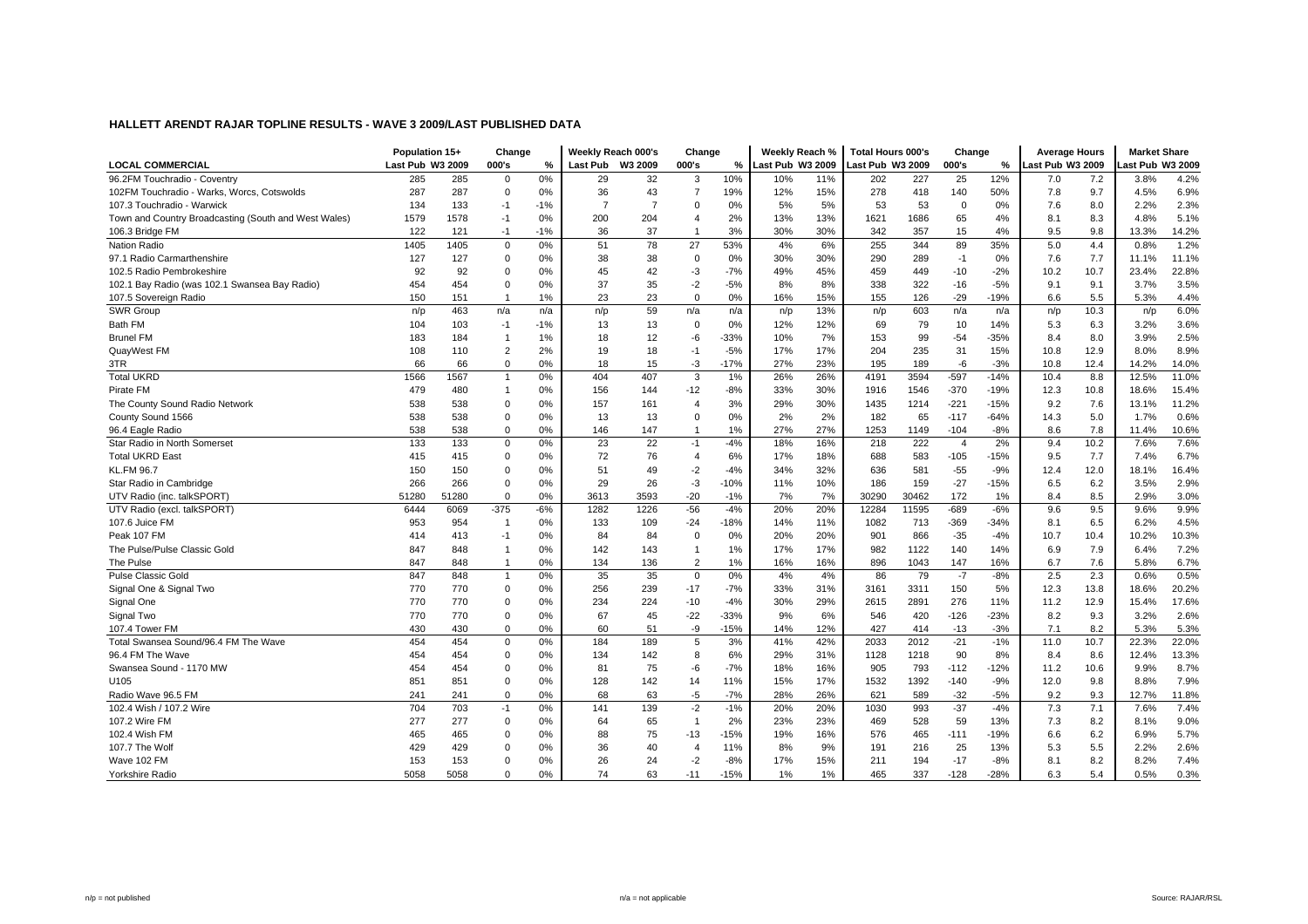|                                                      | Population 15+          |       | Change         |               | Weekly Reach 000's |                | Change         |        | Weekly Reach %   |     | <b>Total Hours 000's</b> |       | Change         |        | <b>Average Hours</b> |      | <b>Market Share</b> |       |
|------------------------------------------------------|-------------------------|-------|----------------|---------------|--------------------|----------------|----------------|--------|------------------|-----|--------------------------|-------|----------------|--------|----------------------|------|---------------------|-------|
| <b>LOCAL COMMERCIAL</b>                              | <b>Last Pub W3 2009</b> |       | 000's          | $\frac{0}{2}$ | Last Pub W3 2009   |                | 000's          | %      | Last Pub W3 2009 |     | Last Pub W3 2009         |       | 000's          | %      | ast Pub W3 2009      |      | ast Pub W3 2009     |       |
| 96.2FM Touchradio - Coventry                         | 285                     | 285   | $\mathbf 0$    | 0%            | 29                 | 32             | 3              | 10%    | 10%              | 11% | 202                      | 227   | 25             | 12%    | 7.0                  | 7.2  | 3.8%                | 4.2%  |
| 102FM Touchradio - Warks, Worcs, Cotswolds           | 287                     | 287   | $\mathbf 0$    | 0%            | 36                 | 43             | $\overline{7}$ | 19%    | 12%              | 15% | 278                      | 418   | 140            | 50%    | 7.8                  | 9.7  | 4.5%                | 6.9%  |
| 107.3 Touchradio - Warwick                           | 134                     | 133   | $-1$           | $-1%$         | $\overline{7}$     | $\overline{7}$ | $\mathbf 0$    | 0%     | 5%               | 5%  | 53                       | 53    | $\mathbf 0$    | 0%     | 7.6                  | 8.0  | 2.2%                | 2.3%  |
| Town and Country Broadcasting (South and West Wales) | 1579                    | 1578  | $-1$           | 0%            | 200                | 204            | 4              | 2%     | 13%              | 13% | 1621                     | 1686  | 65             | 4%     | 8.1                  | 8.3  | 4.8%                | 5.1%  |
| 106.3 Bridge FM                                      | 122                     | 121   | $-1$           | $-1%$         | 36                 | 37             | $\mathbf{1}$   | 3%     | 30%              | 30% | 342                      | 357   | 15             | 4%     | 9.5                  | 9.8  | 13.3%               | 14.2% |
| <b>Nation Radio</b>                                  | 1405                    | 1405  | $\mathbf 0$    | 0%            | 51                 | 78             | 27             | 53%    | 4%               | 6%  | 255                      | 344   | 89             | 35%    | 5.0                  | 4.4  | 0.8%                | 1.2%  |
| 97.1 Radio Carmarthenshire                           | 127                     | 127   | $\Omega$       | 0%            | 38                 | 38             | $\mathbf 0$    | 0%     | 30%              | 30% | 290                      | 289   | $-1$           | 0%     | 7.6                  | 7.7  | 11.1%               | 11.1% |
| 102.5 Radio Pembrokeshire                            | 92                      | 92    | $\mathbf 0$    | 0%            | 45                 | 42             | $-3$           | $-7%$  | 49%              | 45% | 459                      | 449   | $-10$          | $-2%$  | 10.2                 | 10.7 | 23.4%               | 22.8% |
| 102.1 Bay Radio (was 102.1 Swansea Bay Radio)        | 454                     | 454   | $\mathbf 0$    | 0%            | 37                 | 35             | $-2$           | $-5%$  | 8%               | 8%  | 338                      | 322   | $-16$          | $-5%$  | 9.1                  | 9.1  | 3.7%                | 3.5%  |
| 107.5 Sovereign Radio                                | 150                     | 151   | $\overline{1}$ | 1%            | 23                 | 23             | $\mathbf 0$    | 0%     | 16%              | 15% | 155                      | 126   | $-29$          | $-19%$ | 6.6                  | 5.5  | 5.3%                | 4.4%  |
| SWR Group                                            | n/p                     | 463   | n/a            | n/a           | n/p                | 59             | n/a            | n/a    | n/p              | 13% | n/p                      | 603   | n/a            | n/a    | n/p                  | 10.3 | n/p                 | 6.0%  |
| Bath FM                                              | 104                     | 103   | $-1$           | $-1%$         | 13                 | 13             | $\mathbf 0$    | 0%     | 12%              | 12% | 69                       | 79    | 10             | 14%    | 5.3                  | 6.3  | 3.2%                | 3.6%  |
| <b>Brunel FM</b>                                     | 183                     | 184   | $\overline{1}$ | 1%            | 18                 | 12             | $-6$           | $-33%$ | 10%              | 7%  | 153                      | 99    | $-54$          | $-35%$ | 8.4                  | 8.0  | 3.9%                | 2.5%  |
| QuayWest FM                                          | 108                     | 110   | $\overline{2}$ | 2%            | 19                 | 18             | $-1$           | $-5%$  | 17%              | 17% | 204                      | 235   | 31             | 15%    | 10.8                 | 12.9 | 8.0%                | 8.9%  |
| 3TR                                                  | 66                      | 66    | $\mathbf 0$    | 0%            | 18                 | 15             | $-3$           | $-17%$ | 27%              | 23% | 195                      | 189   | -6             | $-3%$  | 10.8                 | 12.4 | 14.2%               | 14.0% |
| <b>Total UKRD</b>                                    | 1566                    | 1567  |                | 0%            | 404                | 407            | 3              | 1%     | 26%              | 26% | 4191                     | 3594  | $-597$         | $-14%$ | 10.4                 | 8.8  | 12.5%               | 11.0% |
| Pirate FM                                            | 479                     | 480   | $\overline{1}$ | 0%            | 156                | 144            | $-12$          | $-8%$  | 33%              | 30% | 1916                     | 1546  | $-370$         | $-19%$ | 12.3                 | 10.8 | 18.6%               | 15.4% |
| The County Sound Radio Network                       | 538                     | 538   | $\mathbf 0$    | 0%            | 157                | 161            | $\overline{4}$ | 3%     | 29%              | 30% | 1435                     | 1214  | $-221$         | $-15%$ | 9.2                  | 7.6  | 13.1%               | 11.2% |
| County Sound 1566                                    | 538                     | 538   | $\mathbf 0$    | 0%            | 13                 | 13             | $\mathbf 0$    | 0%     | 2%               | 2%  | 182                      | 65    | $-117$         | $-64%$ | 14.3                 | 5.0  | 1.7%                | 0.6%  |
| 96.4 Eagle Radio                                     | 538                     | 538   | $\mathbf 0$    | 0%            | 146                | 147            | $\mathbf{1}$   | 1%     | 27%              | 27% | 1253                     | 1149  | $-104$         | $-8%$  | 8.6                  | 7.8  | 11.4%               | 10.6% |
| Star Radio in North Somerset                         | 133                     | 133   | 0              | 0%            | 23                 | 22             | $-1$           | $-4%$  | 18%              | 16% | 218                      | 222   | $\overline{4}$ | 2%     | 9.4                  | 10.2 | 7.6%                | 7.6%  |
| <b>Total UKRD East</b>                               | 415                     | 415   | $\mathbf 0$    | 0%            | 72                 | 76             | $\overline{4}$ | 6%     | 17%              | 18% | 688                      | 583   | $-105$         | $-15%$ | 9.5                  | 7.7  | 7.4%                | 6.7%  |
| <b>KL.FM 96.7</b>                                    | 150                     | 150   | $\Omega$       | 0%            | 51                 | 49             | $-2$           | $-4%$  | 34%              | 32% | 636                      | 581   | $-55$          | $-9%$  | 12.4                 | 12.0 | 18.1%               | 16.4% |
| Star Radio in Cambridge                              | 266                     | 266   | $\Omega$       | 0%            | 29                 | 26             | $-3$           | $-10%$ | 11%              | 10% | 186                      | 159   | $-27$          | $-15%$ | 6.5                  | 6.2  | 3.5%                | 2.9%  |
| UTV Radio (inc. talkSPORT)                           | 51280                   | 51280 | $\Omega$       | 0%            | 3613               | 3593           | $-20$          | $-1%$  | 7%               | 7%  | 30290                    | 30462 | 172            | 1%     | 8.4                  | 8.5  | 2.9%                | 3.0%  |
| UTV Radio (excl. talkSPORT)                          | 6444                    | 6069  | $-375$         | $-6%$         | 1282               | 1226           | $-56$          | $-4%$  | 20%              | 20% | 12284                    | 11595 | $-689$         | $-6%$  | 9.6                  | 9.5  | 9.6%                | 9.9%  |
| 107.6 Juice FM                                       | 953                     | 954   | -1             | 0%            | 133                | 109            | $-24$          | $-18%$ | 14%              | 11% | 1082                     | 713   | $-369$         | $-34%$ | 8.1                  | 6.5  | 6.2%                | 4.5%  |
| Peak 107 FM                                          | 414                     | 413   | $-1$           | 0%            | 84                 | 84             | $\mathbf 0$    | 0%     | 20%              | 20% | 901                      | 866   | $-35$          | $-4%$  | 10.7                 | 10.4 | 10.2%               | 10.3% |
| The Pulse/Pulse Classic Gold                         | 847                     | 848   | $\overline{1}$ | 0%            | 142                | 143            | $\mathbf{1}$   | 1%     | 17%              | 17% | 982                      | 1122  | 140            | 14%    | 6.9                  | 7.9  | 6.4%                | 7.2%  |
| The Pulse                                            | 847                     | 848   | $\overline{1}$ | 0%            | 134                | 136            | $\overline{2}$ | 1%     | 16%              | 16% | 896                      | 1043  | 147            | 16%    | 6.7                  | 7.6  | 5.8%                | 6.7%  |
| <b>Pulse Classic Gold</b>                            | 847                     | 848   | $\overline{1}$ | 0%            | 35                 | 35             | $\Omega$       | 0%     | 4%               | 4%  | 86                       | 79    | $-7$           | $-8%$  | 2.5                  | 2.3  | 0.6%                | 0.5%  |
| Signal One & Signal Two                              | 770                     | 770   | $\mathbf 0$    | 0%            | 256                | 239            | $-17$          | $-7%$  | 33%              | 31% | 3161                     | 3311  | 150            | 5%     | 12.3                 | 13.8 | 18.6%               | 20.2% |
| Signal One                                           | 770                     | 770   | $\Omega$       | 0%            | 234                | 224            | $-10$          | $-4%$  | 30%              | 29% | 2615                     | 2891  | 276            | 11%    | 11.2                 | 12.9 | 15.4%               | 17.6% |
| Signal Two                                           | 770                     | 770   | $\Omega$       | 0%            | 67                 | 45             | $-22$          | $-33%$ | 9%               | 6%  | 546                      | 420   | $-126$         | $-23%$ | 8.2                  | 9.3  | 3.2%                | 2.6%  |
| 107.4 Tower FM                                       | 430                     | 430   | $\mathbf 0$    | 0%            | 60                 | 51             | -9             | $-15%$ | 14%              | 12% | 427                      | 414   | $-13$          | $-3%$  | 7.1                  | 8.2  | 5.3%                | 5.3%  |
| Total Swansea Sound/96.4 FM The Wave                 | 454                     | 454   | $\mathbf 0$    | 0%            | 184                | 189            | 5              | 3%     | 41%              | 42% | 2033                     | 2012  | $-21$          | $-1%$  | 11.0                 | 10.7 | 22.3%               | 22.0% |
| 96.4 FM The Wave                                     | 454                     | 454   | $\mathbf 0$    | 0%            | 134                | 142            | 8              | 6%     | 29%              | 31% | 1128                     | 1218  | 90             | 8%     | 8.4                  | 8.6  | 12.4%               | 13.3% |
| Swansea Sound - 1170 MW                              | 454                     | 454   | $\Omega$       | 0%            | 81                 | 75             | -6             | $-7%$  | 18%              | 16% | 905                      | 793   | $-112$         | $-12%$ | 11.2                 | 10.6 | 9.9%                | 8.7%  |
| U105                                                 | 851                     | 851   | $\mathbf 0$    | 0%            | 128                | 142            | 14             | 11%    | 15%              | 17% | 1532                     | 1392  | $-140$         | $-9%$  | 12.0                 | 9.8  | 8.8%                | 7.9%  |
| Radio Wave 96.5 FM                                   | 241                     | 241   | $\mathbf 0$    | 0%            | 68                 | 63             | $-5$           | $-7%$  | 28%              | 26% | 621                      | 589   | $-32$          | $-5%$  | 9.2                  | 9.3  | 12.7%               | 11.8% |
| 102.4 Wish / 107.2 Wire                              | 704                     | 703   | $-1$           | 0%            | 141                | 139            | $-2$           | $-1%$  | 20%              | 20% | 1030                     | 993   | $-37$          | $-4%$  | 7.3                  | 7.1  | 7.6%                | 7.4%  |
| 107.2 Wire FM                                        | 277                     | 277   | $\mathbf 0$    | 0%            | 64                 | 65             | $\mathbf{1}$   | 2%     | 23%              | 23% | 469                      | 528   | 59             | 13%    | 7.3                  | 8.2  | 8.1%                | 9.0%  |
| 102.4 Wish FM                                        | 465                     | 465   | $\Omega$       | 0%            | 88                 | 75             | $-13$          | $-15%$ | 19%              | 16% | 576                      | 465   | $-111$         | $-19%$ | 6.6                  | 6.2  | 6.9%                | 5.7%  |
| 107.7 The Wolf                                       | 429                     | 429   | $\Omega$       | 0%            | 36                 | 40             | $\overline{4}$ | 11%    | 8%               | 9%  | 191                      | 216   | 25             | 13%    | 5.3                  | 5.5  | 2.2%                | 2.6%  |
| Wave 102 FM                                          | 153                     | 153   | $\Omega$       | 0%            | 26                 | 24             | $-2$           | $-8%$  | 17%              | 15% | 211                      | 194   | $-17$          | $-8%$  | 8.1                  | 8.2  | 8.2%                | 7.4%  |
|                                                      | 5058                    | 5058  | $\Omega$       |               | 74                 | 63             | $-11$          | $-15%$ | 1%               | 1%  |                          | 337   | $-128$         | $-28%$ |                      | 5.4  | 0.5%                |       |
| Yorkshire Radio                                      |                         |       |                | 0%            |                    |                |                |        |                  |     | 465                      |       |                |        | 6.3                  |      |                     | 0.3%  |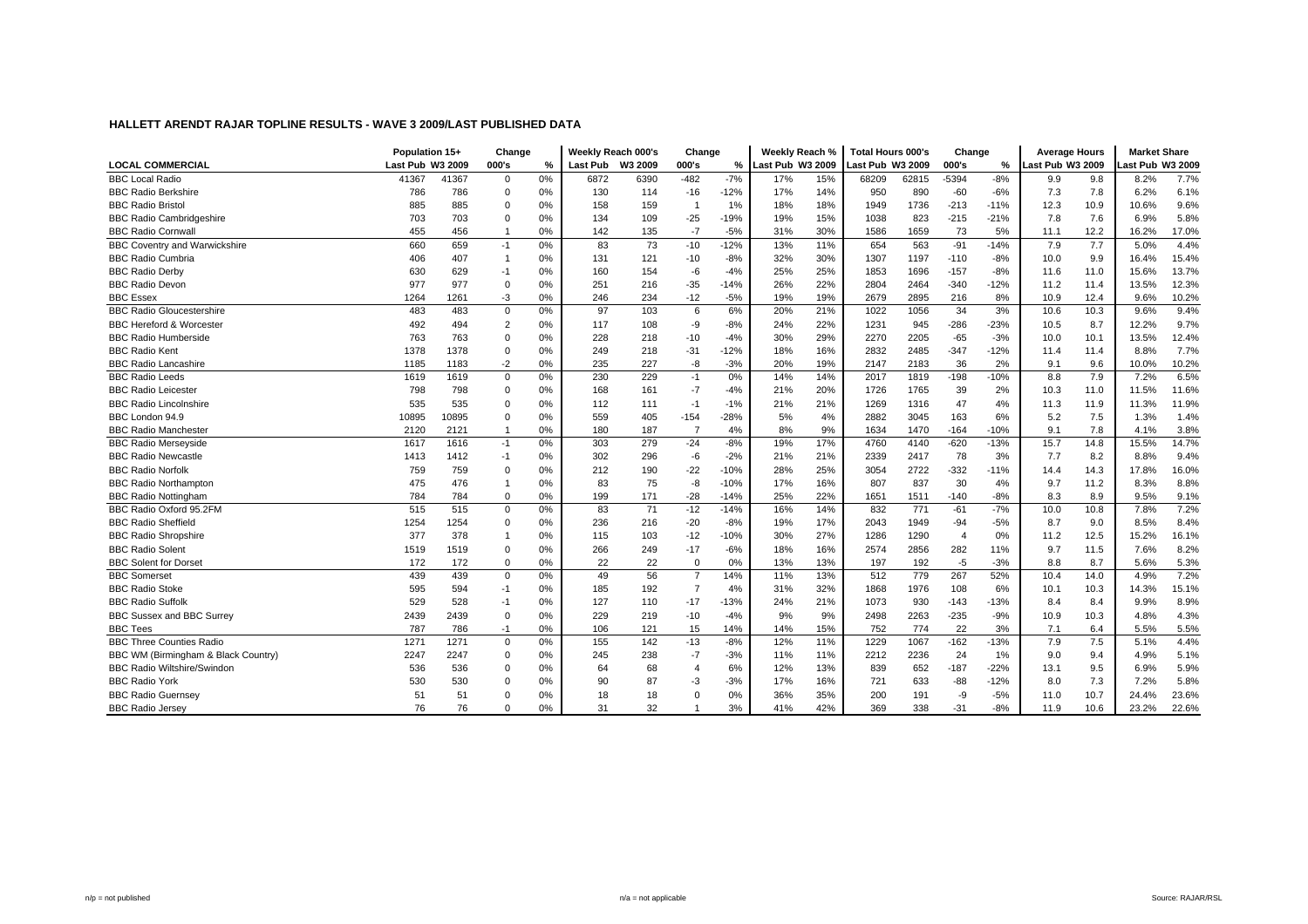|                                      | Population 15+   |       | Change         |    | Weekly Reach 000's |      | Change         |        | Weekly Reach %   |     | <b>Total Hours 000's</b> |       | Change         |        | <b>Average Hours</b> |      | <b>Market Share</b> |       |
|--------------------------------------|------------------|-------|----------------|----|--------------------|------|----------------|--------|------------------|-----|--------------------------|-------|----------------|--------|----------------------|------|---------------------|-------|
| <b>LOCAL COMMERCIAL</b>              | Last Pub W3 2009 |       | 000's          | %  | Last Pub W3 2009   |      | 000's          | %      | Last Pub W3 2009 |     | ast Pub W3 2009          |       | 000's          | %      | Last Pub W3 2009     |      | ast Pub W3 2009     |       |
| <b>BBC Local Radio</b>               | 41367            | 41367 | $\mathbf 0$    | 0% | 6872               | 6390 | $-482$         | $-7%$  | 17%              | 15% | 68209                    | 62815 | $-5394$        | $-8%$  | 9.9                  | 9.8  | 8.2%                | 7.7%  |
| <b>BBC Radio Berkshire</b>           | 786              | 786   | $\Omega$       | 0% | 130                | 114  | $-16$          | $-12%$ | 17%              | 14% | 950                      | 890   | $-60$          | $-6%$  | 7.3                  | 7.8  | 6.2%                | 6.1%  |
| <b>BBC Radio Bristol</b>             | 885              | 885   | $\mathbf 0$    | 0% | 158                | 159  | -1             | 1%     | 18%              | 18% | 1949                     | 1736  | $-213$         | $-11%$ | 12.3                 | 10.9 | 10.6%               | 9.6%  |
| <b>BBC Radio Cambridgeshire</b>      | 703              | 703   | $\Omega$       | 0% | 134                | 109  | $-25$          | $-19%$ | 19%              | 15% | 1038                     | 823   | $-215$         | $-21%$ | 7.8                  | 7.6  | 6.9%                | 5.8%  |
| <b>BBC Radio Cornwall</b>            | 455              | 456   | -1             | 0% | 142                | 135  | $-7$           | $-5%$  | 31%              | 30% | 1586                     | 1659  | 73             | 5%     | 11.1                 | 12.2 | 16.2%               | 17.0% |
| <b>BBC Coventry and Warwickshire</b> | 660              | 659   | $-1$           | 0% | 83                 | 73   | $-10$          | $-12%$ | 13%              | 11% | 654                      | 563   | $-91$          | $-14%$ | 7.9                  | 7.7  | 5.0%                | 4.4%  |
| <b>BBC Radio Cumbria</b>             | 406              | 407   | -1             | 0% | 131                | 121  | $-10$          | $-8%$  | 32%              | 30% | 1307                     | 1197  | $-110$         | $-8%$  | 10.0                 | 9.9  | 16.4%               | 15.4% |
| <b>BBC Radio Derby</b>               | 630              | 629   | $-1$           | 0% | 160                | 154  | $-6$           | $-4%$  | 25%              | 25% | 1853                     | 1696  | $-157$         | $-8%$  | 11.6                 | 11.0 | 15.6%               | 13.7% |
| <b>BBC Radio Devon</b>               | 977              | 977   | $\mathbf 0$    | 0% | 251                | 216  | $-35$          | $-14%$ | 26%              | 22% | 2804                     | 2464  | $-340$         | $-12%$ | 11.2                 | 11.4 | 13.5%               | 12.3% |
| <b>BBC Essex</b>                     | 1264             | 1261  | -3             | 0% | 246                | 234  | $-12$          | $-5%$  | 19%              | 19% | 2679                     | 2895  | 216            | 8%     | 10.9                 | 12.4 | 9.6%                | 10.2% |
| <b>BBC Radio Gloucestershire</b>     | 483              | 483   | $\mathbf 0$    | 0% | 97                 | 103  | 6              | 6%     | 20%              | 21% | 1022                     | 1056  | 34             | 3%     | 10.6                 | 10.3 | 9.6%                | 9.4%  |
| <b>BBC Hereford &amp; Worcester</b>  | 492              | 494   | $\overline{2}$ | 0% | 117                | 108  | -9             | $-8%$  | 24%              | 22% | 1231                     | 945   | $-286$         | $-23%$ | 10.5                 | 8.7  | 12.2%               | 9.7%  |
| <b>BBC Radio Humberside</b>          | 763              | 763   | $\Omega$       | 0% | 228                | 218  | $-10$          | $-4%$  | 30%              | 29% | 2270                     | 2205  | $-65$          | $-3%$  | 10.0                 | 10.1 | 13.5%               | 12.4% |
| <b>BBC Radio Kent</b>                | 1378             | 1378  | $\mathbf 0$    | 0% | 249                | 218  | $-31$          | $-12%$ | 18%              | 16% | 2832                     | 2485  | $-347$         | $-12%$ | 11.4                 | 11.4 | 8.8%                | 7.7%  |
| <b>BBC Radio Lancashire</b>          | 1185             | 1183  | $-2$           | 0% | 235                | 227  | -8             | $-3%$  | 20%              | 19% | 2147                     | 2183  | 36             | 2%     | 9.1                  | 9.6  | 10.0%               | 10.2% |
| <b>BBC Radio Leeds</b>               | 1619             | 1619  | $\mathbf 0$    | 0% | 230                | 229  | $-1$           | 0%     | 14%              | 14% | 2017                     | 1819  | $-198$         | $-10%$ | 8.8                  | 7.9  | 7.2%                | 6.5%  |
| <b>BBC Radio Leicester</b>           | 798              | 798   | $\Omega$       | 0% | 168                | 161  | $-7$           | $-4%$  | 21%              | 20% | 1726                     | 1765  | 39             | 2%     | 10.3                 | 11.0 | 11.5%               | 11.6% |
| <b>BBC Radio Lincolnshire</b>        | 535              | 535   | $\mathbf 0$    | 0% | 112                | 111  | $-1$           | $-1%$  | 21%              | 21% | 1269                     | 1316  | 47             | 4%     | 11.3                 | 11.9 | 11.3%               | 11.9% |
| BBC London 94.9                      | 10895            | 10895 | $\mathbf 0$    | 0% | 559                | 405  | $-154$         | $-28%$ | 5%               | 4%  | 2882                     | 3045  | 163            | 6%     | 5.2                  | 7.5  | 1.3%                | 1.4%  |
| <b>BBC Radio Manchester</b>          | 2120             | 2121  | -1             | 0% | 180                | 187  | $\overline{7}$ | 4%     | 8%               | 9%  | 1634                     | 1470  | $-164$         | $-10%$ | 9.1                  | 7.8  | 4.1%                | 3.8%  |
| <b>BBC Radio Mersevside</b>          | 1617             | 1616  | $-1$           | 0% | 303                | 279  | $-24$          | $-8%$  | 19%              | 17% | 4760                     | 4140  | $-620$         | $-13%$ | 15.7                 | 14.8 | 15.5%               | 14.7% |
| <b>BBC Radio Newcastle</b>           | 1413             | 1412  | $-1$           | 0% | 302                | 296  | -6             | $-2%$  | 21%              | 21% | 2339                     | 2417  | 78             | 3%     | 7.7                  | 8.2  | 8.8%                | 9.4%  |
| <b>BBC Radio Norfolk</b>             | 759              | 759   | $\Omega$       | 0% | 212                | 190  | $-22$          | $-10%$ | 28%              | 25% | 3054                     | 2722  | $-332$         | $-11%$ | 14.4                 | 14.3 | 17.8%               | 16.0% |
| <b>BBC Radio Northampton</b>         | 475              | 476   |                | 0% | 83                 | 75   | -8             | $-10%$ | 17%              | 16% | 807                      | 837   | 30             | 4%     | 9.7                  | 11.2 | 8.3%                | 8.8%  |
| <b>BBC Radio Nottingham</b>          | 784              | 784   | $\Omega$       | 0% | 199                | 171  | $-28$          | $-14%$ | 25%              | 22% | 1651                     | 1511  | $-140$         | $-8%$  | 8.3                  | 8.9  | 9.5%                | 9.1%  |
| BBC Radio Oxford 95.2FM              | 515              | 515   | $\Omega$       | 0% | 83                 | 71   | $-12$          | $-14%$ | 16%              | 14% | 832                      | 771   | $-61$          | $-7%$  | 10.0                 | 10.8 | 7.8%                | 7.2%  |
| <b>BBC Radio Sheffield</b>           | 1254             | 1254  | $\Omega$       | 0% | 236                | 216  | $-20$          | $-8%$  | 19%              | 17% | 2043                     | 1949  | $-94$          | $-5%$  | 8.7                  | 9.0  | 8.5%                | 8.4%  |
| <b>BBC Radio Shropshire</b>          | 377              | 378   |                | 0% | 115                | 103  | $-12$          | $-10%$ | 30%              | 27% | 1286                     | 1290  | $\overline{4}$ | 0%     | 11.2                 | 12.5 | 15.2%               | 16.1% |
| <b>BBC Radio Solent</b>              | 1519             | 1519  | $\mathbf 0$    | 0% | 266                | 249  | $-17$          | $-6%$  | 18%              | 16% | 2574                     | 2856  | 282            | 11%    | 9.7                  | 11.5 | 7.6%                | 8.2%  |
| <b>BBC Solent for Dorset</b>         | 172              | 172   | $\mathbf 0$    | 0% | 22                 | 22   | $\mathbf 0$    | 0%     | 13%              | 13% | 197                      | 192   | $-5$           | $-3%$  | 8.8                  | 8.7  | 5.6%                | 5.3%  |
| <b>BBC</b> Somerset                  | 439              | 439   | $\mathbf 0$    | 0% | 49                 | 56   | $\overline{7}$ | 14%    | 11%              | 13% | 512                      | 779   | 267            | 52%    | 10.4                 | 14.0 | 4.9%                | 7.2%  |
| <b>BBC Radio Stoke</b>               | 595              | 594   | $-1$           | 0% | 185                | 192  | $\overline{7}$ | 4%     | 31%              | 32% | 1868                     | 1976  | 108            | 6%     | 10.1                 | 10.3 | 14.3%               | 15.1% |
| <b>BBC Radio Suffolk</b>             | 529              | 528   | $-1$           | 0% | 127                | 110  | $-17$          | $-13%$ | 24%              | 21% | 1073                     | 930   | $-143$         | $-13%$ | 8.4                  | 8.4  | 9.9%                | 8.9%  |
| BBC Sussex and BBC Surrey            | 2439             | 2439  | $\mathbf 0$    | 0% | 229                | 219  | $-10$          | $-4%$  | 9%               | 9%  | 2498                     | 2263  | $-235$         | $-9%$  | 10.9                 | 10.3 | 4.8%                | 4.3%  |
| <b>BBC Tees</b>                      | 787              | 786   | $-1$           | 0% | 106                | 121  | 15             | 14%    | 14%              | 15% | 752                      | 774   | 22             | 3%     | 7.1                  | 6.4  | 5.5%                | 5.5%  |
| <b>BBC Three Counties Radio</b>      | 1271             | 1271  | $\mathbf 0$    | 0% | 155                | 142  | $-13$          | $-8%$  | 12%              | 11% | 1229                     | 1067  | $-162$         | $-13%$ | 7.9                  | 7.5  | 5.1%                | 4.4%  |
| BBC WM (Birmingham & Black Country)  | 2247             | 2247  | $\Omega$       | 0% | 245                | 238  | $-7$           | $-3%$  | 11%              | 11% | 2212                     | 2236  | 24             | 1%     | 9.0                  | 9.4  | 4.9%                | 5.1%  |
| <b>BBC Radio Wiltshire/Swindon</b>   | 536              | 536   | $\Omega$       | 0% | 64                 | 68   | 4              | 6%     | 12%              | 13% | 839                      | 652   | $-187$         | $-22%$ | 13.1                 | 9.5  | 6.9%                | 5.9%  |
| <b>BBC Radio York</b>                | 530              | 530   | $\Omega$       | 0% | 90                 | 87   | $-3$           | $-3%$  | 17%              | 16% | 721                      | 633   | $-88$          | $-12%$ | 8.0                  | 7.3  | 7.2%                | 5.8%  |
| <b>BBC Radio Guernsey</b>            | 51               | 51    | $\Omega$       | 0% | 18                 | 18   | $\Omega$       | 0%     | 36%              | 35% | 200                      | 191   | -9             | $-5%$  | 11.0                 | 10.7 | 24.4%               | 23.6% |
| <b>BBC Radio Jersey</b>              | 76               | 76    | $\Omega$       | 0% | 31                 | 32   |                | 3%     | 41%              | 42% | 369                      | 338   | $-31$          | $-8%$  | 11.9                 | 10.6 | 23.2%               | 22.6% |